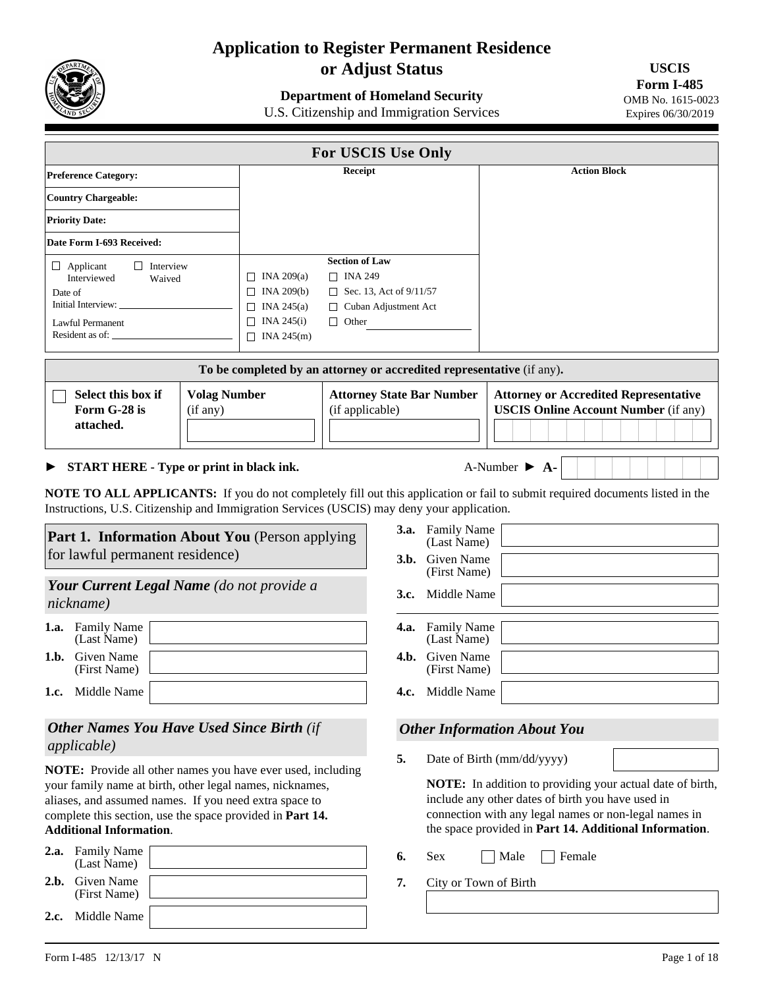

# **Application to Register Permanent Residence or Adjust Status**

## **Department of Homeland Security**

U.S. Citizenship and Immigration Services

**USCIS Form I-485**  OMB No. 1615-0023 Expires 06/30/2019

| For USCIS Use Only                                                                                                                                                                                                                                                                                                                                                                                                                    |                                                                                                                                                                                                                                                                                                                |                                                                                                                          |                                                                              |                                                                                                                                                                                                                                                                                                                         |  |  |
|---------------------------------------------------------------------------------------------------------------------------------------------------------------------------------------------------------------------------------------------------------------------------------------------------------------------------------------------------------------------------------------------------------------------------------------|----------------------------------------------------------------------------------------------------------------------------------------------------------------------------------------------------------------------------------------------------------------------------------------------------------------|--------------------------------------------------------------------------------------------------------------------------|------------------------------------------------------------------------------|-------------------------------------------------------------------------------------------------------------------------------------------------------------------------------------------------------------------------------------------------------------------------------------------------------------------------|--|--|
| <b>Preference Category:</b>                                                                                                                                                                                                                                                                                                                                                                                                           |                                                                                                                                                                                                                                                                                                                | <b>Receipt</b>                                                                                                           |                                                                              | <b>Action Block</b>                                                                                                                                                                                                                                                                                                     |  |  |
| <b>Country Chargeable:</b>                                                                                                                                                                                                                                                                                                                                                                                                            |                                                                                                                                                                                                                                                                                                                |                                                                                                                          |                                                                              |                                                                                                                                                                                                                                                                                                                         |  |  |
| <b>Priority Date:</b>                                                                                                                                                                                                                                                                                                                                                                                                                 |                                                                                                                                                                                                                                                                                                                |                                                                                                                          |                                                                              |                                                                                                                                                                                                                                                                                                                         |  |  |
| Date Form I-693 Received:                                                                                                                                                                                                                                                                                                                                                                                                             |                                                                                                                                                                                                                                                                                                                |                                                                                                                          |                                                                              |                                                                                                                                                                                                                                                                                                                         |  |  |
| $\Box$ Applicant<br>$\Box$ Interview<br>Interviewed<br>Waived<br>Date of<br>Initial Interview: _<br><b>Lawful Permanent</b><br>Resident as of:                                                                                                                                                                                                                                                                                        | $\Box$ INA 209(a)<br>$\Box$ INA 209(b)<br>$\Box$ INA 245(a)<br>$\Box$ INA 245(i)<br>$\Box$ INA 245(m)                                                                                                                                                                                                          | <b>Section of Law</b><br>$\Box$ INA 249<br>$\Box$ Sec. 13, Act of 9/11/57<br>$\Box$ Cuban Adjustment Act<br>$\Box$ Other |                                                                              |                                                                                                                                                                                                                                                                                                                         |  |  |
|                                                                                                                                                                                                                                                                                                                                                                                                                                       | To be completed by an attorney or accredited representative (if any).                                                                                                                                                                                                                                          |                                                                                                                          |                                                                              |                                                                                                                                                                                                                                                                                                                         |  |  |
| Select this box if<br>Form G-28 is<br>attached.                                                                                                                                                                                                                                                                                                                                                                                       | <b>Volag Number</b><br>(if any)                                                                                                                                                                                                                                                                                | <b>Attorney State Bar Number</b><br>(if applicable)                                                                      |                                                                              | <b>Attorney or Accredited Representative</b><br><b>USCIS Online Account Number (if any)</b>                                                                                                                                                                                                                             |  |  |
|                                                                                                                                                                                                                                                                                                                                                                                                                                       | A-Number $\triangleright$ A-<br>START HERE - Type or print in black ink.<br><b>NOTE TO ALL APPLICANTS:</b> If you do not completely fill out this application or fail to submit required documents listed in the<br>Instructions, U.S. Citizenship and Immigration Services (USCIS) may deny your application. |                                                                                                                          |                                                                              |                                                                                                                                                                                                                                                                                                                         |  |  |
| <b>Part 1. Information About You</b> (Person applying<br>for lawful permanent residence)<br>Your Current Legal Name (do not provide a<br>nickname)                                                                                                                                                                                                                                                                                    |                                                                                                                                                                                                                                                                                                                | 3.b.<br>3.c.                                                                                                             | 3.a. Family Name<br>(Last Name)<br>Given Name<br>(First Name)<br>Middle Name |                                                                                                                                                                                                                                                                                                                         |  |  |
| 1.a. Family Name<br>(Last Name)<br>1.b. Given Name<br>(First Name)                                                                                                                                                                                                                                                                                                                                                                    |                                                                                                                                                                                                                                                                                                                | 4.b.                                                                                                                     | 4.a. Family Name<br>(Last Name)<br>Given Name<br>(First Name)                |                                                                                                                                                                                                                                                                                                                         |  |  |
| 1.c. Middle Name                                                                                                                                                                                                                                                                                                                                                                                                                      |                                                                                                                                                                                                                                                                                                                |                                                                                                                          | 4.c. Middle Name                                                             |                                                                                                                                                                                                                                                                                                                         |  |  |
| <b>Other Names You Have Used Since Birth (if</b><br><i>applicable</i> )<br>NOTE: Provide all other names you have ever used, including<br>your family name at birth, other legal names, nicknames,<br>aliases, and assumed names. If you need extra space to<br>complete this section, use the space provided in Part 14.<br><b>Additional Information.</b><br><b>Family Name</b><br>2.a.<br>(Last Name)<br><b>Given Name</b><br>2.b. |                                                                                                                                                                                                                                                                                                                | 5.<br>6.<br>7.                                                                                                           | Sex<br>City or Town of Birth                                                 | <b>Other Information About You</b><br>Date of Birth (mm/dd/yyyy)<br>NOTE: In addition to providing your actual date of birth,<br>include any other dates of birth you have used in<br>connection with any legal names or non-legal names in<br>the space provided in Part 14. Additional Information.<br>Female<br>Male |  |  |
| (First Name)<br>Middle Name<br>2.c.                                                                                                                                                                                                                                                                                                                                                                                                   |                                                                                                                                                                                                                                                                                                                |                                                                                                                          |                                                                              |                                                                                                                                                                                                                                                                                                                         |  |  |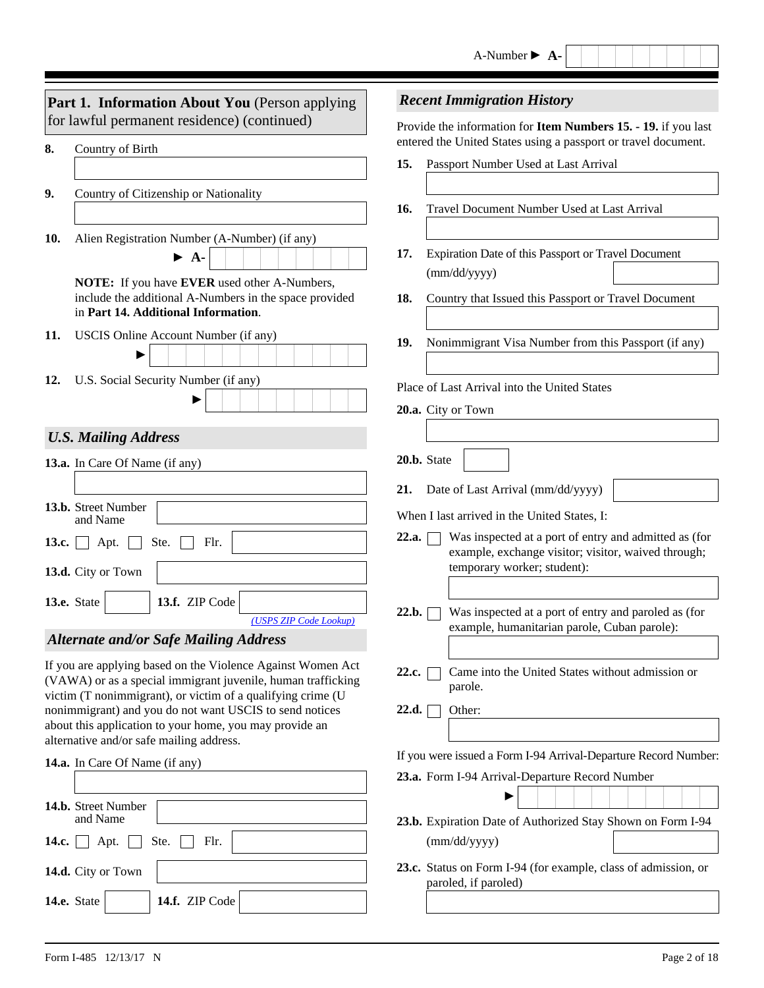|                                             | <b>Part 1. Information About You</b> (Person applying                                                                                         |                                                                | <b>Recent Immigration History</b>                                                                            |  |
|---------------------------------------------|-----------------------------------------------------------------------------------------------------------------------------------------------|----------------------------------------------------------------|--------------------------------------------------------------------------------------------------------------|--|
| for lawful permanent residence) (continued) |                                                                                                                                               | Provide the information for Item Numbers 15. - 19. if you last |                                                                                                              |  |
| 8.                                          | Country of Birth                                                                                                                              |                                                                | entered the United States using a passport or travel document.                                               |  |
|                                             |                                                                                                                                               | 15.                                                            | Passport Number Used at Last Arrival                                                                         |  |
| 9.                                          | Country of Citizenship or Nationality                                                                                                         |                                                                |                                                                                                              |  |
|                                             |                                                                                                                                               | 16.                                                            | Travel Document Number Used at Last Arrival                                                                  |  |
| 10.                                         | Alien Registration Number (A-Number) (if any)                                                                                                 |                                                                |                                                                                                              |  |
|                                             | $\blacktriangleright$ A-                                                                                                                      | 17.                                                            | Expiration Date of this Passport or Travel Document<br>(mm/dd/yyyy)                                          |  |
|                                             | NOTE: If you have EVER used other A-Numbers,<br>include the additional A-Numbers in the space provided<br>in Part 14. Additional Information. | 18.                                                            | Country that Issued this Passport or Travel Document                                                         |  |
| 11.                                         | USCIS Online Account Number (if any)                                                                                                          |                                                                |                                                                                                              |  |
|                                             |                                                                                                                                               | 19.                                                            | Nonimmigrant Visa Number from this Passport (if any)                                                         |  |
| 12.                                         | U.S. Social Security Number (if any)                                                                                                          |                                                                | Place of Last Arrival into the United States                                                                 |  |
|                                             |                                                                                                                                               |                                                                | 20.a. City or Town                                                                                           |  |
|                                             | <b>U.S. Mailing Address</b>                                                                                                                   |                                                                |                                                                                                              |  |
|                                             | 13.a. In Care Of Name (if any)                                                                                                                |                                                                | 20.b. State                                                                                                  |  |
|                                             |                                                                                                                                               |                                                                |                                                                                                              |  |
|                                             | 13.b. Street Number                                                                                                                           | 21.                                                            | Date of Last Arrival (mm/dd/yyyy)                                                                            |  |
|                                             | and Name                                                                                                                                      |                                                                | When I last arrived in the United States, I:                                                                 |  |
| 13.c.                                       | Ste.<br>Flr.<br>Apt.                                                                                                                          | 22.a.                                                          | Was inspected at a port of entry and admitted as (for<br>example, exchange visitor; visitor, waived through; |  |
|                                             | 13.d. City or Town                                                                                                                            |                                                                | temporary worker; student):                                                                                  |  |
|                                             | 13.f. ZIP Code<br>13.e. State<br>$\blacktriangledown$                                                                                         |                                                                |                                                                                                              |  |
|                                             | (USPS ZIP Code Lookup)                                                                                                                        | 22.b.                                                          | Was inspected at a port of entry and paroled as (for<br>example, humanitarian parole, Cuban parole):         |  |
|                                             | <b>Alternate and/or Safe Mailing Address</b>                                                                                                  |                                                                |                                                                                                              |  |
|                                             | If you are applying based on the Violence Against Women Act<br>(VAWA) or as a special immigrant juvenile, human trafficking                   | 22.c.                                                          | Came into the United States without admission or<br>parole.                                                  |  |
|                                             | victim (T nonimmigrant), or victim of a qualifying crime (U<br>nonimmigrant) and you do not want USCIS to send notices                        | 22.d.                                                          | Other:                                                                                                       |  |
|                                             | about this application to your home, you may provide an                                                                                       |                                                                |                                                                                                              |  |
|                                             | alternative and/or safe mailing address.<br>14.a. In Care Of Name (if any)                                                                    |                                                                | If you were issued a Form I-94 Arrival-Departure Record Number:                                              |  |
|                                             |                                                                                                                                               |                                                                | 23.a. Form I-94 Arrival-Departure Record Number                                                              |  |
|                                             | 14.b. Street Number                                                                                                                           |                                                                |                                                                                                              |  |
|                                             | and Name                                                                                                                                      |                                                                | 23.b. Expiration Date of Authorized Stay Shown on Form I-94                                                  |  |
| 14.c.                                       | Ste.<br>Flr.<br>Apt.                                                                                                                          |                                                                | (mm/dd/yyyy)                                                                                                 |  |
|                                             | 14.d. City or Town                                                                                                                            |                                                                | 23.c. Status on Form I-94 (for example, class of admission, or<br>paroled, if paroled)                       |  |
|                                             | 14.f. ZIP Code<br>14.e. State<br>$\mathbf{v}$                                                                                                 |                                                                |                                                                                                              |  |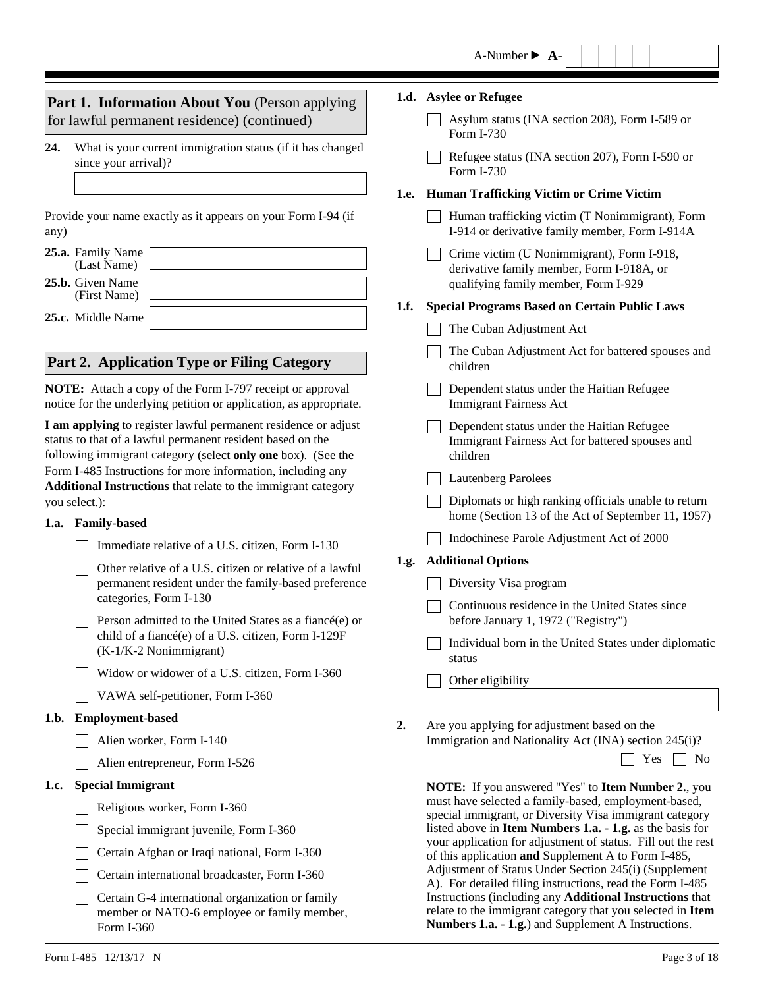|                                                                                                                                                                                              |                                                                                                                                 |                                                                                                                    | A-Number $\blacktriangleright$ A-                                                                                                                                             |  |
|----------------------------------------------------------------------------------------------------------------------------------------------------------------------------------------------|---------------------------------------------------------------------------------------------------------------------------------|--------------------------------------------------------------------------------------------------------------------|-------------------------------------------------------------------------------------------------------------------------------------------------------------------------------|--|
|                                                                                                                                                                                              | Part 1. Information About You (Person applying                                                                                  |                                                                                                                    | 1.d. Asylee or Refugee                                                                                                                                                        |  |
|                                                                                                                                                                                              | for lawful permanent residence) (continued)                                                                                     |                                                                                                                    | Asylum status (INA section 208), Form I-589 or<br>Form I-730                                                                                                                  |  |
| 24.                                                                                                                                                                                          | What is your current immigration status (if it has changed<br>since your arrival)?                                              |                                                                                                                    | Refugee status (INA section 207), Form I-590 or<br>Form I-730                                                                                                                 |  |
|                                                                                                                                                                                              |                                                                                                                                 | 1.e.                                                                                                               | <b>Human Trafficking Victim or Crime Victim</b>                                                                                                                               |  |
| any)                                                                                                                                                                                         | Provide your name exactly as it appears on your Form I-94 (if                                                                   |                                                                                                                    | Human trafficking victim (T Nonimmigrant), Form<br>I-914 or derivative family member, Form I-914A                                                                             |  |
|                                                                                                                                                                                              | 25.a. Family Name<br>(Last Name)<br>25.b. Given Name                                                                            |                                                                                                                    | Crime victim (U Nonimmigrant), Form I-918,<br>derivative family member, Form I-918A, or<br>qualifying family member, Form I-929                                               |  |
|                                                                                                                                                                                              | (First Name)                                                                                                                    | 1.f.                                                                                                               | <b>Special Programs Based on Certain Public Laws</b>                                                                                                                          |  |
|                                                                                                                                                                                              | 25.c. Middle Name                                                                                                               |                                                                                                                    | The Cuban Adjustment Act                                                                                                                                                      |  |
|                                                                                                                                                                                              | Part 2. Application Type or Filing Category                                                                                     |                                                                                                                    | The Cuban Adjustment Act for battered spouses and<br>children                                                                                                                 |  |
|                                                                                                                                                                                              | NOTE: Attach a copy of the Form I-797 receipt or approval<br>notice for the underlying petition or application, as appropriate. |                                                                                                                    | Dependent status under the Haitian Refugee<br><b>Immigrant Fairness Act</b>                                                                                                   |  |
| I am applying to register lawful permanent residence or adjust<br>status to that of a lawful permanent resident based on the<br>following immigrant category (select only one box). (See the |                                                                                                                                 |                                                                                                                    | Dependent status under the Haitian Refugee<br>Immigrant Fairness Act for battered spouses and<br>children                                                                     |  |
| Form I-485 Instructions for more information, including any<br>Additional Instructions that relate to the immigrant category                                                                 |                                                                                                                                 |                                                                                                                    | <b>Lautenberg Parolees</b>                                                                                                                                                    |  |
|                                                                                                                                                                                              | you select.):<br>1.a. Family-based                                                                                              |                                                                                                                    | Diplomats or high ranking officials unable to return<br>home (Section 13 of the Act of September 11, 1957)                                                                    |  |
|                                                                                                                                                                                              | Immediate relative of a U.S. citizen, Form I-130                                                                                |                                                                                                                    | Indochinese Parole Adjustment Act of 2000                                                                                                                                     |  |
|                                                                                                                                                                                              | Other relative of a U.S. citizen or relative of a lawful                                                                        | 1.g.                                                                                                               | <b>Additional Options</b>                                                                                                                                                     |  |
|                                                                                                                                                                                              | permanent resident under the family-based preference                                                                            |                                                                                                                    | Diversity Visa program                                                                                                                                                        |  |
|                                                                                                                                                                                              | categories, Form I-130<br>Person admitted to the United States as a fiancé(e) or                                                |                                                                                                                    | Continuous residence in the United States since<br>before January 1, 1972 ("Registry")                                                                                        |  |
|                                                                                                                                                                                              | child of a fiancé(e) of a U.S. citizen, Form I-129F<br>(K-1/K-2 Nonimmigrant)                                                   |                                                                                                                    | Individual born in the United States under diplomatic<br>status                                                                                                               |  |
|                                                                                                                                                                                              | Widow or widower of a U.S. citizen, Form I-360                                                                                  |                                                                                                                    | Other eligibility                                                                                                                                                             |  |
|                                                                                                                                                                                              | VAWA self-petitioner, Form I-360                                                                                                |                                                                                                                    |                                                                                                                                                                               |  |
| 1.b.                                                                                                                                                                                         | <b>Employment-based</b>                                                                                                         | 2.                                                                                                                 | Are you applying for adjustment based on the                                                                                                                                  |  |
|                                                                                                                                                                                              | Alien worker, Form I-140                                                                                                        |                                                                                                                    | Immigration and Nationality Act (INA) section 245(i)?                                                                                                                         |  |
|                                                                                                                                                                                              | Alien entrepreneur, Form I-526                                                                                                  |                                                                                                                    | Yes<br>N <sub>0</sub>                                                                                                                                                         |  |
| 1.c.                                                                                                                                                                                         | <b>Special Immigrant</b>                                                                                                        |                                                                                                                    | <b>NOTE:</b> If you answered "Yes" to <b>Item Number 2.</b> , you                                                                                                             |  |
|                                                                                                                                                                                              | Religious worker, Form I-360                                                                                                    |                                                                                                                    | must have selected a family-based, employment-based,<br>special immigrant, or Diversity Visa immigrant category                                                               |  |
| Special immigrant juvenile, Form I-360                                                                                                                                                       |                                                                                                                                 |                                                                                                                    | listed above in Item Numbers 1.a. - 1.g. as the basis for                                                                                                                     |  |
|                                                                                                                                                                                              | Certain Afghan or Iraqi national, Form I-360                                                                                    |                                                                                                                    | your application for adjustment of status. Fill out the rest<br>of this application and Supplement A to Form I-485,                                                           |  |
|                                                                                                                                                                                              | Certain international broadcaster, Form I-360                                                                                   | Adjustment of Status Under Section 245(i) (Supplement<br>A). For detailed filing instructions, read the Form I-485 |                                                                                                                                                                               |  |
|                                                                                                                                                                                              | Certain G-4 international organization or family<br>member or NATO-6 employee or family member,<br>Form I-360                   |                                                                                                                    | Instructions (including any Additional Instructions that<br>relate to the immigrant category that you selected in Item<br>Numbers 1.a. - 1.g.) and Supplement A Instructions. |  |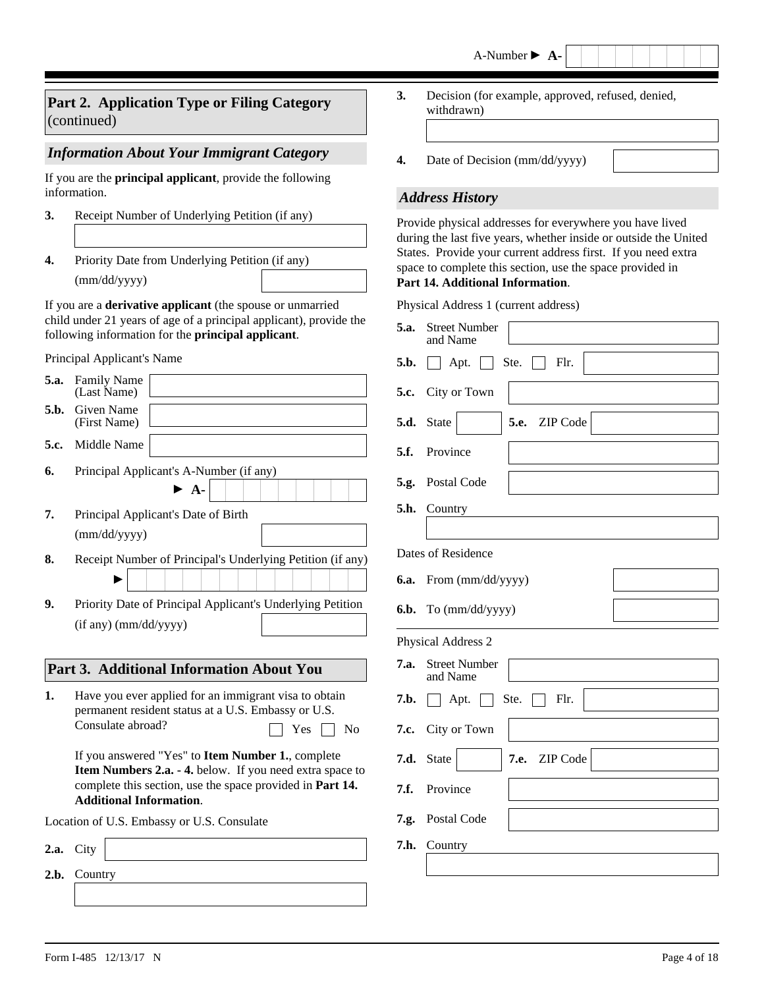## **Part 2. Application Type or Filing Category** (continued)

## *Information About Your Immigrant Category*

If you are the **principal applicant**, provide the following information.

- **3.** Receipt Number of Underlying Petition (if any)
- **4.** Priority Date from Underlying Petition (if any)

(mm/dd/yyyy)

If you are a **derivative applicant** (the spouse or unmarried child under 21 years of age of a principal applicant), provide the following information for the **principal applicant**.

Principal Applicant's Name

| 5.a. | <b>Family Name</b><br>(Last Name)                                                                                                                                                                                                                                                                                                                                              |  |  |  |  |
|------|--------------------------------------------------------------------------------------------------------------------------------------------------------------------------------------------------------------------------------------------------------------------------------------------------------------------------------------------------------------------------------|--|--|--|--|
| 5.b. | Given Name<br>(First Name)                                                                                                                                                                                                                                                                                                                                                     |  |  |  |  |
| 5.c. | Middle Name                                                                                                                                                                                                                                                                                                                                                                    |  |  |  |  |
| 6.   | Principal Applicant's A-Number (if any)<br>$\blacktriangleright$ A-                                                                                                                                                                                                                                                                                                            |  |  |  |  |
| 7.   | Principal Applicant's Date of Birth<br>(mm/dd/yyyy)                                                                                                                                                                                                                                                                                                                            |  |  |  |  |
| 8.   | Receipt Number of Principal's Underlying Petition (if any)                                                                                                                                                                                                                                                                                                                     |  |  |  |  |
| 9.   | Priority Date of Principal Applicant's Underlying Petition<br>$(if any)$ (mm/dd/yyyy)                                                                                                                                                                                                                                                                                          |  |  |  |  |
|      |                                                                                                                                                                                                                                                                                                                                                                                |  |  |  |  |
|      | Part 3. Additional Information About You                                                                                                                                                                                                                                                                                                                                       |  |  |  |  |
| 1.   | Have you ever applied for an immigrant visa to obtain<br>permanent resident status at a U.S. Embassy or U.S.<br>Consulate abroad?<br>$Yes$  <br>N <sub>o</sub><br>If you answered "Yes" to Item Number 1., complete<br>Item Numbers 2.a. - 4. below. If you need extra space to<br>complete this section, use the space provided in Part 14.<br><b>Additional Information.</b> |  |  |  |  |
|      | Location of U.S. Embassy or U.S. Consulate                                                                                                                                                                                                                                                                                                                                     |  |  |  |  |
| 2.a. | City                                                                                                                                                                                                                                                                                                                                                                           |  |  |  |  |
| 2.b. | Country                                                                                                                                                                                                                                                                                                                                                                        |  |  |  |  |

- Decision (for example, approved, refused, denied, withdrawn) **3.**
- **4.** Date of Decision (mm/dd/yyyy)

#### *Address History*

Provide physical addresses for everywhere you have lived during the last five years, whether inside or outside the United States. Provide your current address first. If you need extra space to complete this section, use the space provided in **Part 14. Additional Information**.

Physical Address 1 (current address)

| 5.a. | <b>Street Number</b><br>and Name                |
|------|-------------------------------------------------|
| 5.b. | Flr.<br>Apt.<br>Ste.<br>$\perp$<br>$\mathbf{1}$ |
|      | 5.c. City or Town                               |
| 5.d. | 5.e. ZIP Code<br>State<br>$ \mathbf{v} $        |
| 5.f. | Province                                        |
|      | 5.g. Postal Code                                |
| 5.h. | Country                                         |
|      |                                                 |
|      | Dates of Residence                              |
|      | 6.a. From (mm/dd/yyyy)                          |
|      | 6.b. To (mm/dd/yyyy)                            |
|      | Physical Address 2                              |
| 7.a. | <b>Street Number</b><br>and Name                |
| 7.b. | Flr.<br>Apt. $\Box$<br>Ste.<br>$\perp$          |
| 7.c. | City or Town                                    |
| 7.d. | State<br>7.e. ZIP Code<br>$\blacktriangledown$  |
| 7.f. | Province                                        |
|      | 7.g. Postal Code                                |
| 7.h. | Country                                         |
|      |                                                 |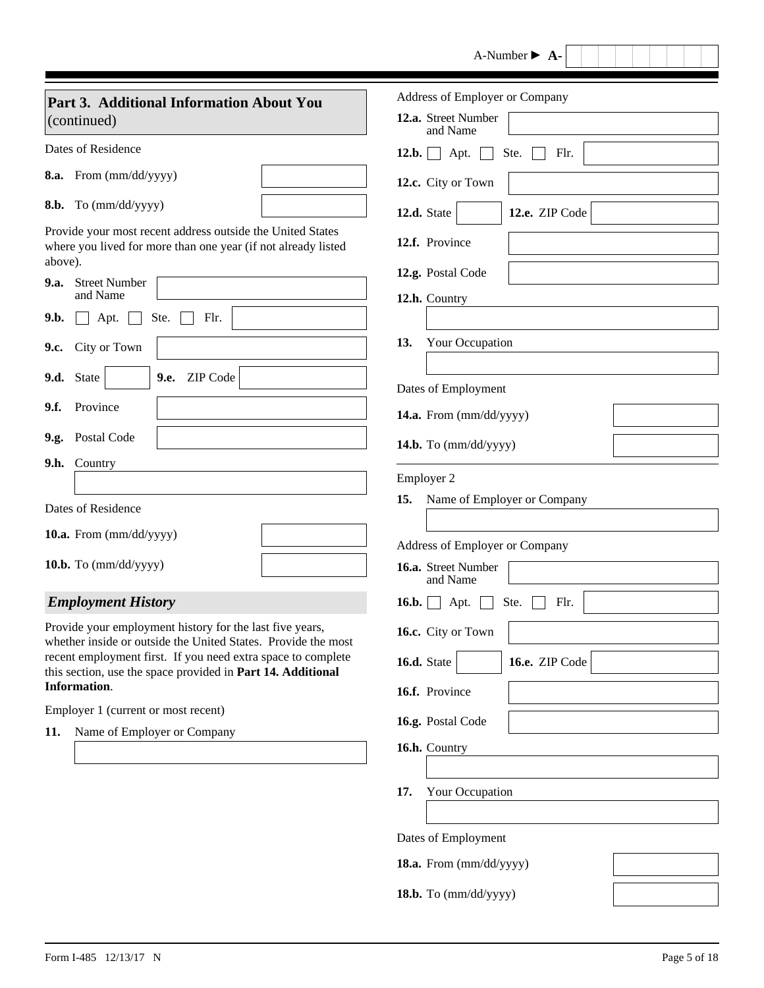|                                                                                                                                        | $A-Number \rightarrow A-$                                         |
|----------------------------------------------------------------------------------------------------------------------------------------|-------------------------------------------------------------------|
| Part 3. Additional Information About You<br>(continued)                                                                                | Address of Employer or Company<br>12.a. Street Number<br>and Name |
| Dates of Residence                                                                                                                     | $12.b.$ Apt.<br>Ste.<br>Flr.                                      |
| 8.a. From (mm/dd/yyyy)                                                                                                                 | 12.c. City or Town                                                |
| 8.b. To (mm/dd/yyyy)                                                                                                                   | 12.e. ZIP Code<br>12.d. State<br>$\blacktriangledown$             |
| Provide your most recent address outside the United States<br>where you lived for more than one year (if not already listed<br>above). | 12.f. Province                                                    |
| 9.a. Street Number                                                                                                                     | 12.g. Postal Code                                                 |
| and Name<br>9.b.<br>Ste.<br>Flr.<br>Apt.                                                                                               | 12.h. Country                                                     |
|                                                                                                                                        | 13.<br>Your Occupation                                            |
| City or Town<br>9.c.                                                                                                                   |                                                                   |
| ZIP Code<br>9.d. State<br>9.e.<br>$\blacktriangledown$                                                                                 | Dates of Employment                                               |
| Province<br>9.f.                                                                                                                       | 14.a. From (mm/dd/yyyy)                                           |
| 9.g. Postal Code                                                                                                                       | 14.b. To (mm/dd/yyyy)                                             |
| Country<br>9.h.                                                                                                                        |                                                                   |
|                                                                                                                                        | Employer 2<br>Name of Employer or Company<br>15.                  |
| Dates of Residence                                                                                                                     |                                                                   |
| 10.a. From (mm/dd/yyyy)                                                                                                                | Address of Employer or Company                                    |
| 10.b. To $(mm/dd/yyyy)$                                                                                                                | 16.a. Street Number<br>and Name                                   |
| <b>Employment History</b>                                                                                                              | 16.b.   Apt.   Ste.   Flr.                                        |
| Provide your employment history for the last five years,                                                                               | 16.c. City or Town                                                |
| whether inside or outside the United States. Provide the most<br>recent employment first. If you need extra space to complete          | 16.e. ZIP Code<br>16.d. State<br>$\blacktriangledown$             |
| this section, use the space provided in Part 14. Additional<br>Information.                                                            | 16.f. Province                                                    |
| Employer 1 (current or most recent)                                                                                                    |                                                                   |
| Name of Employer or Company<br>11.                                                                                                     | 16.g. Postal Code                                                 |
|                                                                                                                                        | 16.h. Country                                                     |
|                                                                                                                                        | Your Occupation<br>17.                                            |
|                                                                                                                                        |                                                                   |
|                                                                                                                                        | Dates of Employment                                               |
|                                                                                                                                        | 18.a. From (mm/dd/yyyy)                                           |
|                                                                                                                                        | 18.b. To (mm/dd/yyyy)                                             |

 $\overline{\phantom{a}}$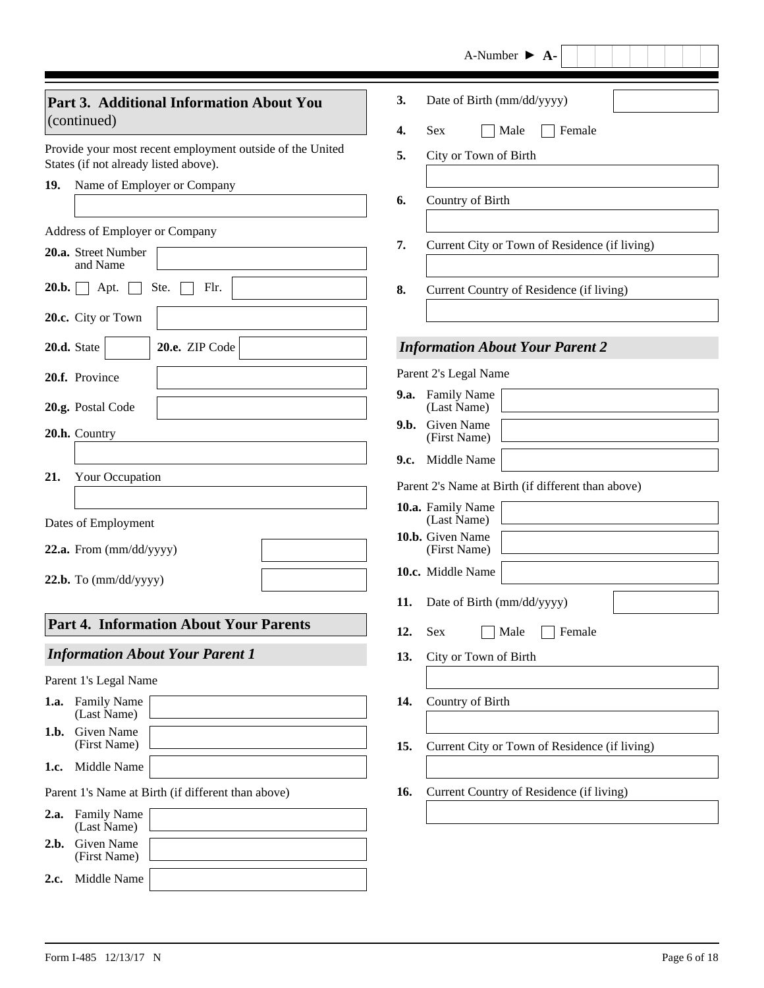|       |                                                                                                    |     | A-Number $\triangleright$ A-                       |
|-------|----------------------------------------------------------------------------------------------------|-----|----------------------------------------------------|
|       | Part 3. Additional Information About You<br>(continued)                                            | 3.  | Date of Birth (mm/dd/yyyy)                         |
|       |                                                                                                    | 4.  | <b>Sex</b><br>Female<br>Male                       |
|       | Provide your most recent employment outside of the United<br>States (if not already listed above). | 5.  | City or Town of Birth                              |
| 19.   | Name of Employer or Company                                                                        |     |                                                    |
|       |                                                                                                    | 6.  | Country of Birth                                   |
|       | Address of Employer or Company                                                                     |     |                                                    |
|       | 20.a. Street Number<br>and Name                                                                    | 7.  | Current City or Town of Residence (if living)      |
| 20.b. | Ste.<br>Flr.<br>Apt.                                                                               | 8.  | Current Country of Residence (if living)           |
|       | 20.c. City or Town                                                                                 |     |                                                    |
|       | 20.e. ZIP Code<br>20.d. State<br>$\blacktriangledown$                                              |     | <b>Information About Your Parent 2</b>             |
|       | 20.f. Province                                                                                     |     | Parent 2's Legal Name                              |
|       | 20.g. Postal Code                                                                                  |     | 9.a. Family Name<br>(Last Name)                    |
|       |                                                                                                    |     | 9.b. Given Name                                    |
|       | 20.h. Country                                                                                      |     | (First Name)                                       |
| 21.   | Your Occupation                                                                                    |     | 9.c. Middle Name                                   |
|       |                                                                                                    |     | Parent 2's Name at Birth (if different than above) |
|       | Dates of Employment                                                                                |     | 10.a. Family Name<br>(Last Name)                   |
|       |                                                                                                    |     | 10.b. Given Name                                   |
|       | 22.a. From (mm/dd/yyyy)                                                                            |     | (First Name)<br>10.c. Middle Name                  |
|       | $22.b.$ To $(mm/dd/yyyy)$                                                                          |     |                                                    |
|       |                                                                                                    |     | 11. Date of Birth (mm/dd/yyyy)                     |
|       | <b>Part 4. Information About Your Parents</b>                                                      | 12. | Sex<br>Female<br>Male                              |
|       | <b>Information About Your Parent 1</b>                                                             | 13. | City or Town of Birth                              |
|       | Parent 1's Legal Name                                                                              |     |                                                    |
| 1.a.  | <b>Family Name</b><br>(Last Name)                                                                  | 14. | Country of Birth                                   |
| 1.b.  | Given Name<br>(First Name)                                                                         | 15. | Current City or Town of Residence (if living)      |
| 1.c.  | Middle Name                                                                                        |     |                                                    |
|       | Parent 1's Name at Birth (if different than above)                                                 | 16. | Current Country of Residence (if living)           |
| 2.a.  | <b>Family Name</b><br>(Last Name)                                                                  |     |                                                    |
| 2.b.  | Given Name<br>(First Name)                                                                         |     |                                                    |
| 2.c.  | Middle Name                                                                                        |     |                                                    |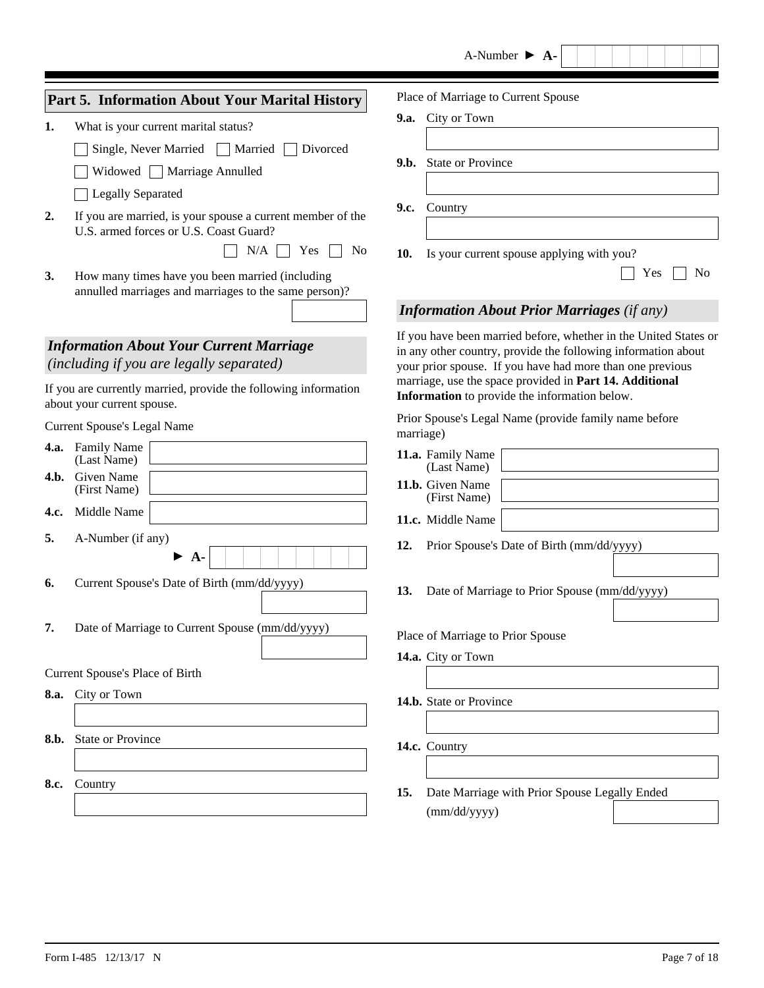|      |                                                                                                          | A-Number $\triangleright$ A-                                                                                                                                                                   |
|------|----------------------------------------------------------------------------------------------------------|------------------------------------------------------------------------------------------------------------------------------------------------------------------------------------------------|
|      | Part 5. Information About Your Marital History                                                           | Place of Marriage to Current Spouse                                                                                                                                                            |
| 1.   | What is your current marital status?                                                                     | 9.a. City or Town                                                                                                                                                                              |
|      | Single, Never Married<br>Married<br>Divorced                                                             |                                                                                                                                                                                                |
|      | Widowed   Marriage Annulled                                                                              | <b>State or Province</b><br>9.b.                                                                                                                                                               |
|      | <b>Legally Separated</b>                                                                                 |                                                                                                                                                                                                |
| 2.   | If you are married, is your spouse a current member of the<br>U.S. armed forces or U.S. Coast Guard?     | 9.c.<br>Country                                                                                                                                                                                |
|      | N/A<br>Yes<br>N <sub>0</sub>                                                                             | 10.<br>Is your current spouse applying with you?                                                                                                                                               |
| 3.   | How many times have you been married (including<br>annulled marriages and marriages to the same person)? | Yes<br>N <sub>0</sub>                                                                                                                                                                          |
|      |                                                                                                          | <b>Information About Prior Marriages (if any)</b>                                                                                                                                              |
|      | <b>Information About Your Current Marriage</b><br>(including if you are legally separated)               | If you have been married before, whether in the United States or<br>in any other country, provide the following information about<br>your prior spouse. If you have had more than one previous |
|      | If you are currently married, provide the following information<br>about your current spouse.            | marriage, use the space provided in Part 14. Additional<br>Information to provide the information below.                                                                                       |
|      | <b>Current Spouse's Legal Name</b>                                                                       | Prior Spouse's Legal Name (provide family name before<br>marriage)                                                                                                                             |
| 4.a. | <b>Family Name</b><br>(Last Name)                                                                        | 11.a. Family Name                                                                                                                                                                              |
| 4.b. | Given Name                                                                                               | (Last Name)<br>11.b. Given Name                                                                                                                                                                |
|      | (First Name)                                                                                             | (First Name)                                                                                                                                                                                   |
| 4.c. | Middle Name                                                                                              | 11.c. Middle Name                                                                                                                                                                              |
| 5.   | A-Number (if any)<br>$A-$                                                                                | 12.<br>Prior Spouse's Date of Birth (mm/dd/yyyy)                                                                                                                                               |
| 6.   | Current Spouse's Date of Birth (mm/dd/yyyy)                                                              | 13.<br>Date of Marriage to Prior Spouse (mm/dd/yyyy)                                                                                                                                           |
| 7.   | Date of Marriage to Current Spouse (mm/dd/yyyy)                                                          | Place of Marriage to Prior Spouse                                                                                                                                                              |
|      | Current Spouse's Place of Birth                                                                          | 14.a. City or Town                                                                                                                                                                             |
|      | 8.a. City or Town                                                                                        |                                                                                                                                                                                                |
|      |                                                                                                          | 14.b. State or Province                                                                                                                                                                        |
| 8.b. | <b>State or Province</b>                                                                                 |                                                                                                                                                                                                |
|      |                                                                                                          | 14.c. Country                                                                                                                                                                                  |
| 8.c. | Country                                                                                                  | Date Marriage with Prior Spouse Legally Ended<br>15.                                                                                                                                           |
|      |                                                                                                          | (mm/dd/yyyy)                                                                                                                                                                                   |
|      |                                                                                                          |                                                                                                                                                                                                |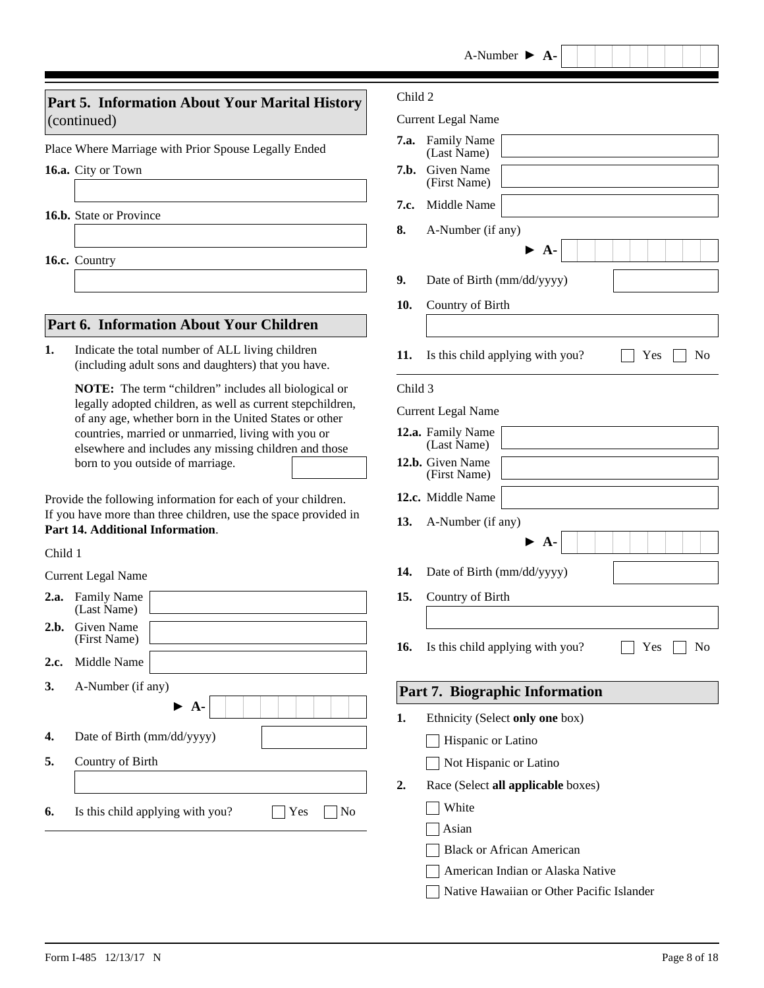## **Part 5. Information About Your Marital History** (continued)

Place Where Marriage with Prior Spouse Legally Ended

**16.a.** City or Town

**16.b.** State or Province

**16.c.** Country

## **Part 6. Information About Your Children**

Indicate the total number of ALL living children (including adult sons and daughters) that you have. **1.**

> **NOTE:** The term "children" includes all biological or legally adopted children, as well as current stepchildren, of any age, whether born in the United States or other countries, married or unmarried, living with you or elsewhere and includes any missing children and those born to you outside of marriage.

Provide the following information for each of your children. If you have more than three children, use the space provided in **Part 14. Additional Information**.

#### Child 1

Current Legal Name

| 2.a. | <b>Family Name</b><br>(Last Name)             |
|------|-----------------------------------------------|
|      | 2.b. Given Name<br>(First Name)               |
| 2.c. | Middle Name                                   |
| 3.   | A-Number (if any)                             |
|      | $\blacktriangleright$ A-                      |
| 4.   | Date of Birth (mm/dd/yyyy)                    |
| 5.   | Country of Birth                              |
|      |                                               |
| 6.   | Yes<br>Is this child applying with you?<br>No |

#### Child 2

Current Legal Name

| 7.a.    | <b>Family Name</b><br>(Last Name)             |  |  |
|---------|-----------------------------------------------|--|--|
| 7.b.    | Given Name<br>(First Name)                    |  |  |
| 7.c.    | Middle Name                                   |  |  |
| 8.      | A-Number (if any)                             |  |  |
|         | • A-                                          |  |  |
| 9.      | Date of Birth (mm/dd/yyyy)                    |  |  |
| 10.     | Country of Birth                              |  |  |
|         |                                               |  |  |
| 11.     | Is this child applying with you?<br>Yes<br>No |  |  |
| Child 3 |                                               |  |  |
|         | <b>Current Legal Name</b>                     |  |  |
|         | 12.a. Family Name<br>(Last Name)              |  |  |
|         | 12.b. Given Name<br>(First Name)              |  |  |
|         | 12.c. Middle Name                             |  |  |
| 13.     | A-Number (if any)                             |  |  |
|         | $\triangleright$ A-                           |  |  |
| 14.     | Date of Birth (mm/dd/yyyy)                    |  |  |
| 15.     | Country of Birth                              |  |  |
|         |                                               |  |  |
| 16.     | Is this child applying with you?<br>No<br>Yes |  |  |
|         |                                               |  |  |
|         | Part 7. Biographic Information                |  |  |
| 1.      | Ethnicity (Select only one box)               |  |  |
|         | Hispanic or Latino                            |  |  |
|         | Not Hispanic or Latino                        |  |  |
| 2.      | Race (Select all applicable boxes)            |  |  |
|         | White                                         |  |  |
|         | Asian                                         |  |  |
|         | <b>Black or African American</b>              |  |  |
|         | American Indian or Alaska Native              |  |  |
|         | Native Hawaiian or Other Pacific Islander     |  |  |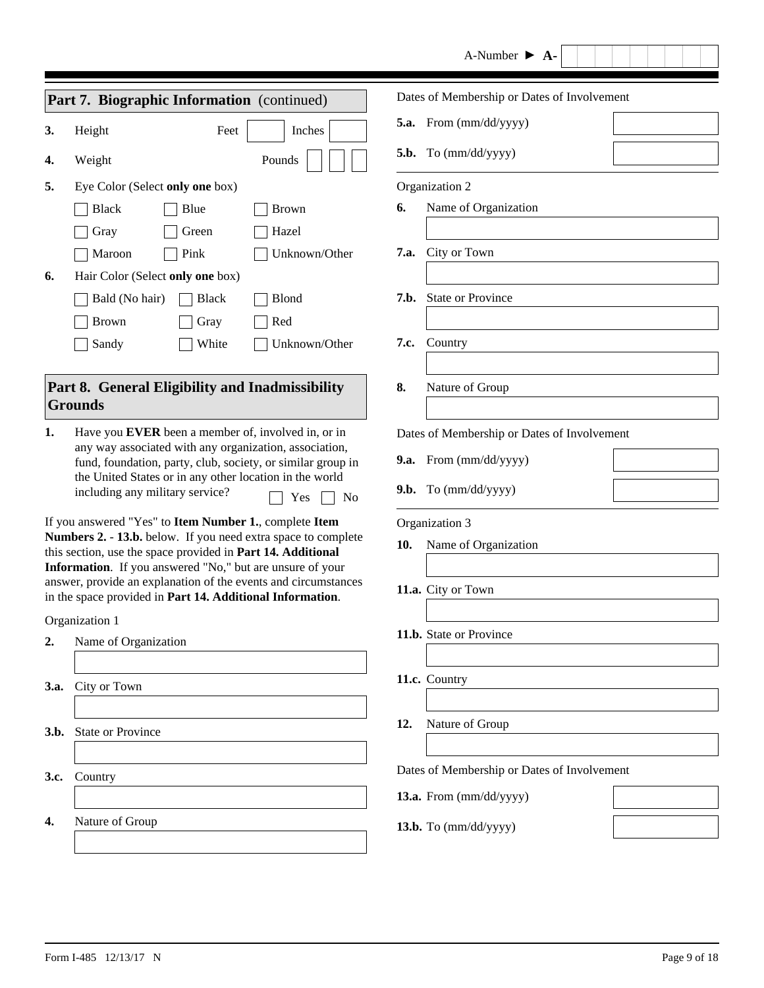| A-Number |  |  |
|----------|--|--|
|----------|--|--|

|      | Part 7. Biographic Information (continued)                                                                                   | Dates of Membership or Dates of Involvement |
|------|------------------------------------------------------------------------------------------------------------------------------|---------------------------------------------|
| 3.   | Inches<br>$\blacktriangledown$<br>Height<br>Feet                                                                             | 5.a. From (mm/dd/yyyy)                      |
| 4.   | Weight<br>Pounds                                                                                                             | 5.b. To $(mm/dd/yyyy)$                      |
| 5.   | Eye Color (Select only one box)                                                                                              | Organization 2                              |
|      | <b>Black</b><br>Blue<br><b>Brown</b>                                                                                         | Name of Organization<br>6.                  |
|      | Green<br>Hazel<br>Gray                                                                                                       |                                             |
|      | Unknown/Other<br>Maroon<br>Pink                                                                                              | City or Town<br>7.a.                        |
| 6.   | Hair Color (Select only one box)                                                                                             |                                             |
|      | Bald (No hair)<br><b>Black</b><br>Blond                                                                                      | 7.b. State or Province                      |
|      | Red<br><b>Brown</b><br>Gray                                                                                                  |                                             |
|      | Unknown/Other<br>Sandy<br>White                                                                                              | 7.c.<br>Country                             |
|      |                                                                                                                              |                                             |
|      | Part 8. General Eligibility and Inadmissibility                                                                              | 8.<br>Nature of Group                       |
|      | <b>Grounds</b>                                                                                                               |                                             |
| 1.   | Have you EVER been a member of, involved in, or in                                                                           | Dates of Membership or Dates of Involvement |
|      | any way associated with any organization, association,<br>fund, foundation, party, club, society, or similar group in        | 9.a. From (mm/dd/yyyy)                      |
|      | the United States or in any other location in the world<br>including any military service?<br>Yes<br>N <sub>0</sub>          | 9.b. To $(mm/dd/yyyy)$                      |
|      | If you answered "Yes" to Item Number 1., complete Item                                                                       | Organization 3                              |
|      | Numbers 2. - 13.b. below. If you need extra space to complete<br>this section, use the space provided in Part 14. Additional | Name of Organization<br>10.                 |
|      | Information. If you answered "No," but are unsure of your                                                                    |                                             |
|      | answer, provide an explanation of the events and circumstances<br>in the space provided in Part 14. Additional Information.  | 11.a. City or Town                          |
|      |                                                                                                                              |                                             |
|      | Organization 1<br>Name of Organization                                                                                       | 11.b. State or Province                     |
| 2.   |                                                                                                                              |                                             |
| 3.a. | City or Town                                                                                                                 | 11.c. Country                               |
|      |                                                                                                                              |                                             |
| 3.b. | <b>State or Province</b>                                                                                                     | 12.<br>Nature of Group                      |
|      |                                                                                                                              |                                             |
| 3.c. | Country                                                                                                                      | Dates of Membership or Dates of Involvement |
|      |                                                                                                                              | 13.a. From (mm/dd/yyyy)                     |
| 4.   | Nature of Group                                                                                                              | 13.b. To (mm/dd/yyyy)                       |
|      |                                                                                                                              |                                             |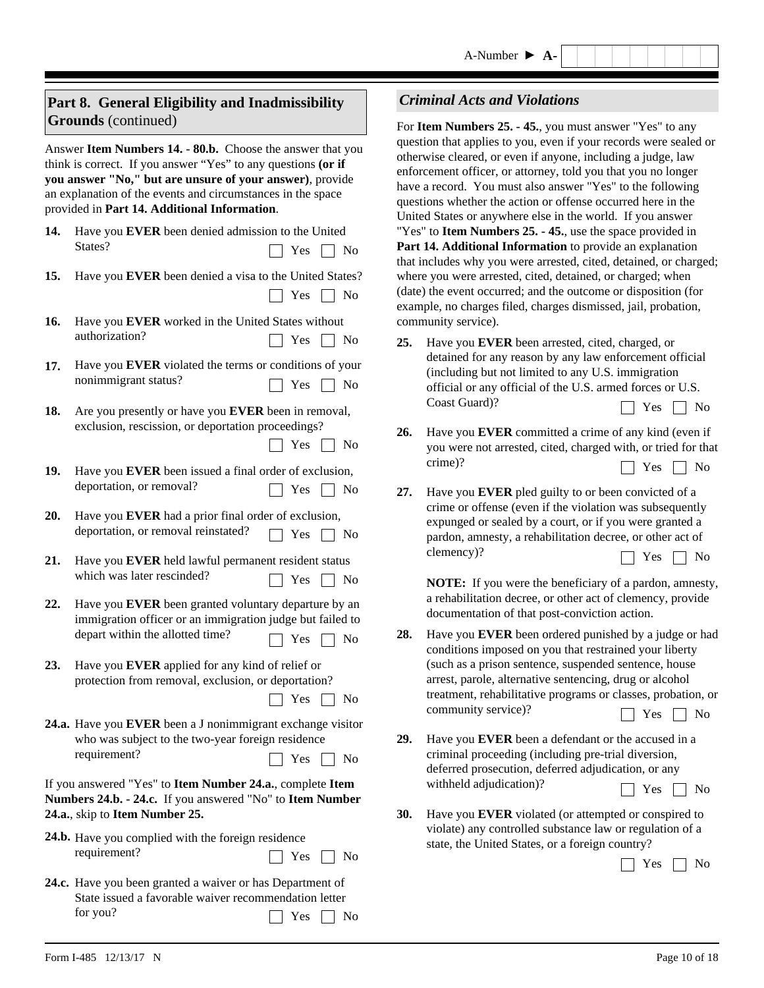## **Part 8. General Eligibility and Inadmissibility Grounds** (continued)

Answer **Item Numbers 14. - 80.b.** Choose the answer that you think is correct. If you answer "Yes" to any questions **(or if you answer "No," but are unsure of your answer)**, provide an explanation of the events and circumstances in the space provided in **Part 14. Additional Information**.

- Have you **EVER** been denied admission to the United States? **14.**  $\Box$  Yes  $\Box$  No
- **15.** Have you **EVER** been denied a visa to the United States?  $\Box$  Yes  $\Box$  No
- Have you **EVER** worked in the United States without authorization? **16.**  $\Box$  Yes  $\Box$  No
- Have you **EVER** violated the terms or conditions of your nonimmigrant status? **17.**  $\Box$  Yes  $\Box$  No
- **18.** Are you presently or have you **EVER** been in removal, exclusion, rescission, or deportation proceedings?  $\Box$  Yes  $\Box$  No
- 19. Have you EVER been issued a final order of exclusion, deportation, or removal?  $\Box$  Yes  $\Box$  No
- **20.** Have you **EVER** had a prior final order of exclusion, deportation, or removal reinstated?  $\Box$  Yes  $\Box$  No
- Have you **EVER** held lawful permanent resident status **21.** which was later rescinded?  $\Box$  Yes  $\Box$  No
- **22.** Have you **EVER** been granted voluntary departure by an immigration officer or an immigration judge but failed to depart within the allotted time?  $\Box$  Yes  $\Box$  No
- Have you **EVER** applied for any kind of relief or **23.** protection from removal, exclusion, or deportation?
	- $\Box$  Yes  $\Box$  No
- **24.a.** Have you **EVER** been a J nonimmigrant exchange visitor who was subject to the two-year foreign residence requirement?  $\Box$  Yes  $\Box$  No

If you answered "Yes" to **Item Number 24.a.**, complete **Item Numbers 24.b. - 24.c.** If you answered "No" to **Item Number 24.a.**, skip to **Item Number 25.** 

- 24.b. Have you complied with the foreign residence requirement?  $\Box$  Yes  $\Box$  No
- for you? Present Service Service Service Service Service Service Service Service Service Service Service Service Service Service Service Service Service Service Service Service Service Service Service Service Service Servi 24.c. Have you been granted a waiver or has Department of State issued a favorable waiver recommendation letter

## *Criminal Acts and Violations*

For **Item Numbers 25. - 45.**, you must answer "Yes" to any question that applies to you, even if your records were sealed or otherwise cleared, or even if anyone, including a judge, law enforcement officer, or attorney, told you that you no longer have a record. You must also answer "Yes" to the following questions whether the action or offense occurred here in the United States or anywhere else in the world. If you answer "Yes" to **Item Numbers 25. - 45.**, use the space provided in **Part 14. Additional Information** to provide an explanation that includes why you were arrested, cited, detained, or charged; where you were arrested, cited, detained, or charged; when (date) the event occurred; and the outcome or disposition (for example, no charges filed, charges dismissed, jail, probation, community service).

- **25.** Have you **EVER** been arrested, cited, charged, or detained for any reason by any law enforcement official (including but not limited to any U.S. immigration official or any official of the U.S. armed forces or U.S.  $\Box$  Yes  $\Box$  No
- $\Box$  Yes  $\Box$  No Have you **EVER** committed a crime of any kind (even if you were not arrested, cited, charged with, or tried for that crime)? **26.**
- **27.** Have you **EVER** pled guilty to or been convicted of a crime or offense (even if the violation was subsequently expunged or sealed by a court, or if you were granted a pardon, amnesty, a rehabilitation decree, or other act of clemency)?  $\Box$  Yes  $\Box$  No

**NOTE:** If you were the beneficiary of a pardon, amnesty, a rehabilitation decree, or other act of clemency, provide documentation of that post-conviction action.

- Have you **EVER** been ordered punished by a judge or had conditions imposed on you that restrained your liberty (such as a prison sentence, suspended sentence, house arrest, parole, alternative sentencing, drug or alcohol treatment, rehabilitative programs or classes, probation, or community service)? **28.**  $\Box$  Yes  $\Box$  No
- **29.** Have you **EVER** been a defendant or the accused in a criminal proceeding (including pre-trial diversion, deferred prosecution, deferred adjudication, or any withheld adjudication)?  $\Box$  Yes  $\Box$  No
- **30.** Have you **EVER** violated (or attempted or conspired to violate) any controlled substance law or regulation of a state, the United States, or a foreign country?

 $\Box$  Yes  $\Box$  No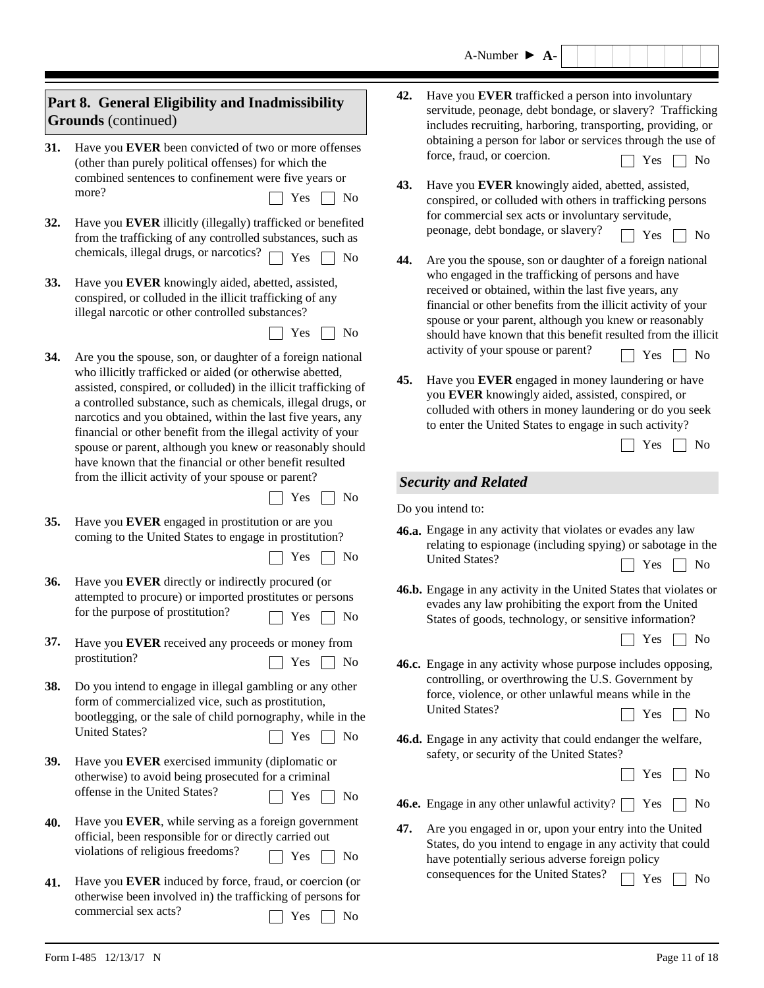| A-Number |  | $A -$ |
|----------|--|-------|
|----------|--|-------|

| Part 8. General Eligibility and Inadmissibility<br><b>Grounds</b> (continued) |                                                                                                                                                                                                                                                                                                                                                                                                                                                                                                                                                                        | 42.                                                                      | Have you <b>EVER</b> trafficked a person into involuntary<br>servitude, peonage, debt bondage, or slavery? Trafficking<br>includes recruiting, harboring, transporting, providing, or                                                                                                                                                                                |  |  |  |
|-------------------------------------------------------------------------------|------------------------------------------------------------------------------------------------------------------------------------------------------------------------------------------------------------------------------------------------------------------------------------------------------------------------------------------------------------------------------------------------------------------------------------------------------------------------------------------------------------------------------------------------------------------------|--------------------------------------------------------------------------|----------------------------------------------------------------------------------------------------------------------------------------------------------------------------------------------------------------------------------------------------------------------------------------------------------------------------------------------------------------------|--|--|--|
| 31.<br>32.                                                                    | Have you EVER been convicted of two or more offenses<br>(other than purely political offenses) for which the<br>combined sentences to confinement were five years or<br>more?<br>Yes<br>No<br>Have you EVER illicitly (illegally) trafficked or benefited<br>from the trafficking of any controlled substances, such as                                                                                                                                                                                                                                                | force, fraud, or coercion.<br>43.                                        | obtaining a person for labor or services through the use of<br>N <sub>0</sub><br>Yes<br>Have you EVER knowingly aided, abetted, assisted,<br>conspired, or colluded with others in trafficking persons<br>for commercial sex acts or involuntary servitude,<br>peonage, debt bondage, or slavery?<br>Yes<br>N <sub>o</sub>                                           |  |  |  |
| 33.                                                                           | chemicals, illegal drugs, or narcotics?<br>Yes<br>N <sub>0</sub><br>Have you EVER knowingly aided, abetted, assisted,<br>conspired, or colluded in the illicit trafficking of any<br>illegal narcotic or other controlled substances?<br>Yes<br>No                                                                                                                                                                                                                                                                                                                     | 44.                                                                      | Are you the spouse, son or daughter of a foreign national<br>who engaged in the trafficking of persons and have<br>received or obtained, within the last five years, any<br>financial or other benefits from the illicit activity of your<br>spouse or your parent, although you knew or reasonably<br>should have known that this benefit resulted from the illicit |  |  |  |
| 34.                                                                           | Are you the spouse, son, or daughter of a foreign national<br>who illicitly trafficked or aided (or otherwise abetted,<br>assisted, conspired, or colluded) in the illicit trafficking of<br>a controlled substance, such as chemicals, illegal drugs, or<br>narcotics and you obtained, within the last five years, any<br>financial or other benefit from the illegal activity of your<br>spouse or parent, although you knew or reasonably should<br>have known that the financial or other benefit resulted<br>from the illicit activity of your spouse or parent? | activity of your spouse or parent?<br>45.<br><b>Security and Related</b> | N <sub>0</sub><br>Yes<br>Have you EVER engaged in money laundering or have<br>you EVER knowingly aided, assisted, conspired, or<br>colluded with others in money laundering or do you seek<br>to enter the United States to engage in such activity?<br>N <sub>0</sub><br>Yes                                                                                        |  |  |  |
|                                                                               | Yes<br>No                                                                                                                                                                                                                                                                                                                                                                                                                                                                                                                                                              | Do you intend to:                                                        |                                                                                                                                                                                                                                                                                                                                                                      |  |  |  |
| 35.                                                                           | Have you EVER engaged in prostitution or are you<br>coming to the United States to engage in prostitution?<br>Yes<br>No                                                                                                                                                                                                                                                                                                                                                                                                                                                | <b>United States?</b>                                                    | 46.a. Engage in any activity that violates or evades any law<br>relating to espionage (including spying) or sabotage in the<br>N <sub>0</sub><br>Yes                                                                                                                                                                                                                 |  |  |  |
| 36.                                                                           | Have you EVER directly or indirectly procured (or<br>attempted to procure) or imported prostitutes or persons<br>for the purpose of prostitution?<br>Yes<br>No                                                                                                                                                                                                                                                                                                                                                                                                         |                                                                          | 46.b. Engage in any activity in the United States that violates or<br>evades any law prohibiting the export from the United<br>States of goods, technology, or sensitive information?                                                                                                                                                                                |  |  |  |
| 37.                                                                           | Have you EVER received any proceeds or money from<br>prostitution?<br>Yes<br>No                                                                                                                                                                                                                                                                                                                                                                                                                                                                                        |                                                                          | Yes<br>No<br>46.c. Engage in any activity whose purpose includes opposing,                                                                                                                                                                                                                                                                                           |  |  |  |
| 38.                                                                           | Do you intend to engage in illegal gambling or any other<br>form of commercialized vice, such as prostitution,<br>bootlegging, or the sale of child pornography, while in the<br><b>United States?</b>                                                                                                                                                                                                                                                                                                                                                                 | <b>United States?</b>                                                    | controlling, or overthrowing the U.S. Government by<br>force, violence, or other unlawful means while in the<br>Yes<br>No                                                                                                                                                                                                                                            |  |  |  |
|                                                                               | Yes<br>No                                                                                                                                                                                                                                                                                                                                                                                                                                                                                                                                                              |                                                                          | 46.d. Engage in any activity that could endanger the welfare,<br>safety, or security of the United States?                                                                                                                                                                                                                                                           |  |  |  |
| 39.                                                                           | Have you EVER exercised immunity (diplomatic or<br>otherwise) to avoid being prosecuted for a criminal<br>offense in the United States?<br>Yes<br>No                                                                                                                                                                                                                                                                                                                                                                                                                   | <b>46.e.</b> Engage in any other unlawful activity? [                    | No<br>Yes<br>No<br>Yes                                                                                                                                                                                                                                                                                                                                               |  |  |  |
| 40.                                                                           | Have you EVER, while serving as a foreign government<br>official, been responsible for or directly carried out<br>violations of religious freedoms?<br>Yes<br>No                                                                                                                                                                                                                                                                                                                                                                                                       | 47.                                                                      | Are you engaged in or, upon your entry into the United<br>States, do you intend to engage in any activity that could<br>have potentially serious adverse foreign policy                                                                                                                                                                                              |  |  |  |
| 41.                                                                           | Have you EVER induced by force, fraud, or coercion (or<br>otherwise been involved in) the trafficking of persons for<br>commercial sex acts?<br>Yes<br>No                                                                                                                                                                                                                                                                                                                                                                                                              |                                                                          | consequences for the United States?<br>N <sub>o</sub><br>Yes                                                                                                                                                                                                                                                                                                         |  |  |  |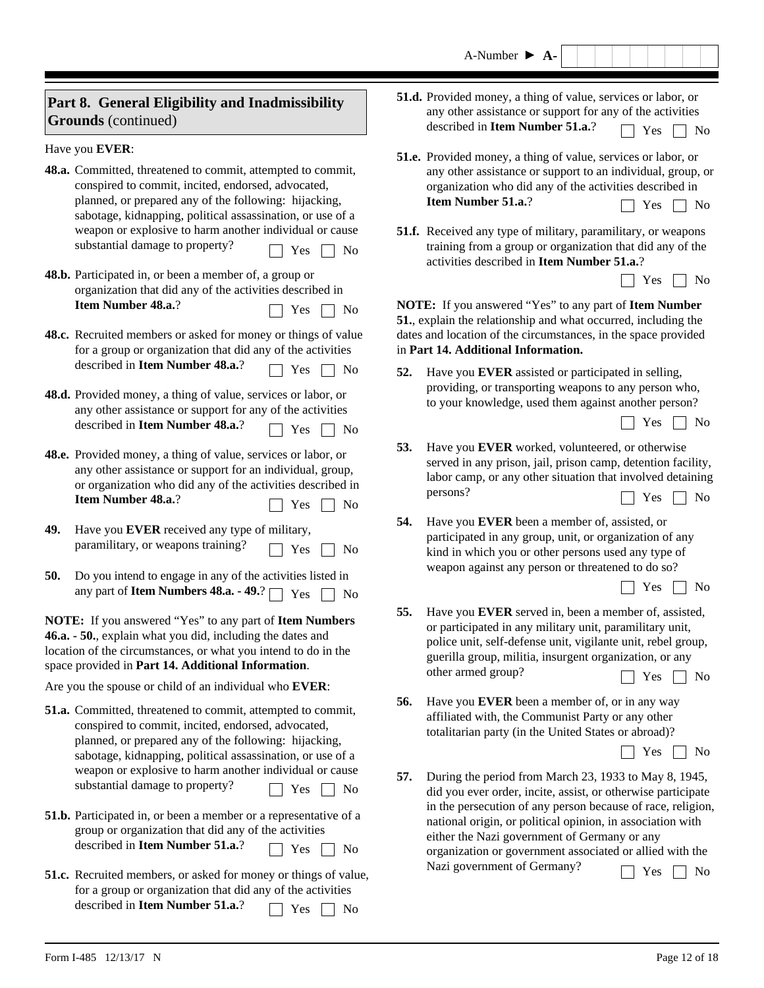| A-Number |  |  |
|----------|--|--|
|----------|--|--|

| Part 8. General Eligibility and Inadmissibility<br><b>Grounds</b> (continued)                                                                                                                                                                 | 51.d. Provided money, a thing of value, services or labor, or<br>any other assistance or support for any of the activities<br>described in Item Number 51.a.?<br>Yes<br>No                                                                                                            |  |  |  |  |
|-----------------------------------------------------------------------------------------------------------------------------------------------------------------------------------------------------------------------------------------------|---------------------------------------------------------------------------------------------------------------------------------------------------------------------------------------------------------------------------------------------------------------------------------------|--|--|--|--|
| Have you EVER:                                                                                                                                                                                                                                | 51.e. Provided money, a thing of value, services or labor, or                                                                                                                                                                                                                         |  |  |  |  |
| 48.a. Committed, threatened to commit, attempted to commit,<br>conspired to commit, incited, endorsed, advocated,<br>planned, or prepared any of the following: hijacking,<br>sabotage, kidnapping, political assassination, or use of a      | any other assistance or support to an individual, group, or<br>organization who did any of the activities described in<br>Item Number 51.a.?<br>Yes<br>No                                                                                                                             |  |  |  |  |
| weapon or explosive to harm another individual or cause<br>substantial damage to property?<br>Yes<br>N <sub>0</sub>                                                                                                                           | <b>51.f.</b> Received any type of military, paramilitary, or weapons<br>training from a group or organization that did any of the<br>activities described in Item Number 51.a.?                                                                                                       |  |  |  |  |
| 48.b. Participated in, or been a member of, a group or<br>organization that did any of the activities described in                                                                                                                            | Yes<br>No                                                                                                                                                                                                                                                                             |  |  |  |  |
| Item Number 48.a.?<br>Yes<br>No                                                                                                                                                                                                               | <b>NOTE:</b> If you answered "Yes" to any part of <b>Item Number</b><br>51., explain the relationship and what occurred, including the                                                                                                                                                |  |  |  |  |
| 48.c. Recruited members or asked for money or things of value<br>for a group or organization that did any of the activities                                                                                                                   | dates and location of the circumstances, in the space provided<br>in Part 14. Additional Information.                                                                                                                                                                                 |  |  |  |  |
| described in Item Number 48.a.?<br>Yes<br>N <sub>0</sub>                                                                                                                                                                                      | Have you EVER assisted or participated in selling,<br>52.                                                                                                                                                                                                                             |  |  |  |  |
| 48.d. Provided money, a thing of value, services or labor, or<br>any other assistance or support for any of the activities<br>described in Item Number 48.a.?<br>No<br>Yes                                                                    | providing, or transporting weapons to any person who,<br>to your knowledge, used them against another person?<br>Yes<br>No                                                                                                                                                            |  |  |  |  |
| 48.e. Provided money, a thing of value, services or labor, or<br>any other assistance or support for an individual, group,<br>or organization who did any of the activities described in<br>Item Number 48.a.?<br>Yes<br>N <sub>0</sub>       | 53.<br>Have you EVER worked, volunteered, or otherwise<br>served in any prison, jail, prison camp, detention facility,<br>labor camp, or any other situation that involved detaining<br>persons?<br>Yes<br>N <sub>0</sub>                                                             |  |  |  |  |
| 49.<br>Have you EVER received any type of military,<br>paramilitary, or weapons training?<br>Yes<br>N <sub>o</sub>                                                                                                                            | Have you EVER been a member of, assisted, or<br>54.<br>participated in any group, unit, or organization of any<br>kind in which you or other persons used any type of                                                                                                                 |  |  |  |  |
| 50.<br>Do you intend to engage in any of the activities listed in<br>any part of <b>Item Numbers 48.a.</b> - 49.? $\Box$ Yes<br>N <sub>o</sub>                                                                                                | weapon against any person or threatened to do so?<br>Yes<br>No                                                                                                                                                                                                                        |  |  |  |  |
| NOTE: If you answered "Yes" to any part of Item Numbers<br>46.a. - 50., explain what you did, including the dates and<br>location of the circumstances, or what you intend to do in the<br>space provided in Part 14. Additional Information. | 55.<br>Have you EVER served in, been a member of, assisted,<br>or participated in any military unit, paramilitary unit,<br>police unit, self-defense unit, vigilante unit, rebel group,<br>guerilla group, militia, insurgent organization, or any<br>other armed group?<br>Yes<br>No |  |  |  |  |
| Are you the spouse or child of an individual who EVER:                                                                                                                                                                                        |                                                                                                                                                                                                                                                                                       |  |  |  |  |
| 51.a. Committed, threatened to commit, attempted to commit,<br>conspired to commit, incited, endorsed, advocated,<br>planned, or prepared any of the following: hijacking,                                                                    | 56.<br>Have you EVER been a member of, or in any way<br>affiliated with, the Communist Party or any other<br>totalitarian party (in the United States or abroad)?<br>Yes<br>No                                                                                                        |  |  |  |  |
| sabotage, kidnapping, political assassination, or use of a<br>weapon or explosive to harm another individual or cause                                                                                                                         |                                                                                                                                                                                                                                                                                       |  |  |  |  |

 $\Box$  Yes  $\Box$  No

 $\Box$  Yes  $\Box$  No

 $\Box$  Yes  $\Box$  No

**57.** During the period from March 23, 1933 to May 8, 1945, did you ever order, incite, assist, or otherwise participate in the persecution of any person because of race, religion, national origin, or political opinion, in association with either the Nazi government of Germany or any organization or government associated or allied with the Nazi government of Germany?  $\Box$  Yes  $\Box$  No

substantial damage to property?

described in **Item Number 51.a.**?

described in **Item Number 51.a.**?

**51.b.** Participated in, or been a member or a representative of a group or organization that did any of the activities

**51.c.** Recruited members, or asked for money or things of value, for a group or organization that did any of the activities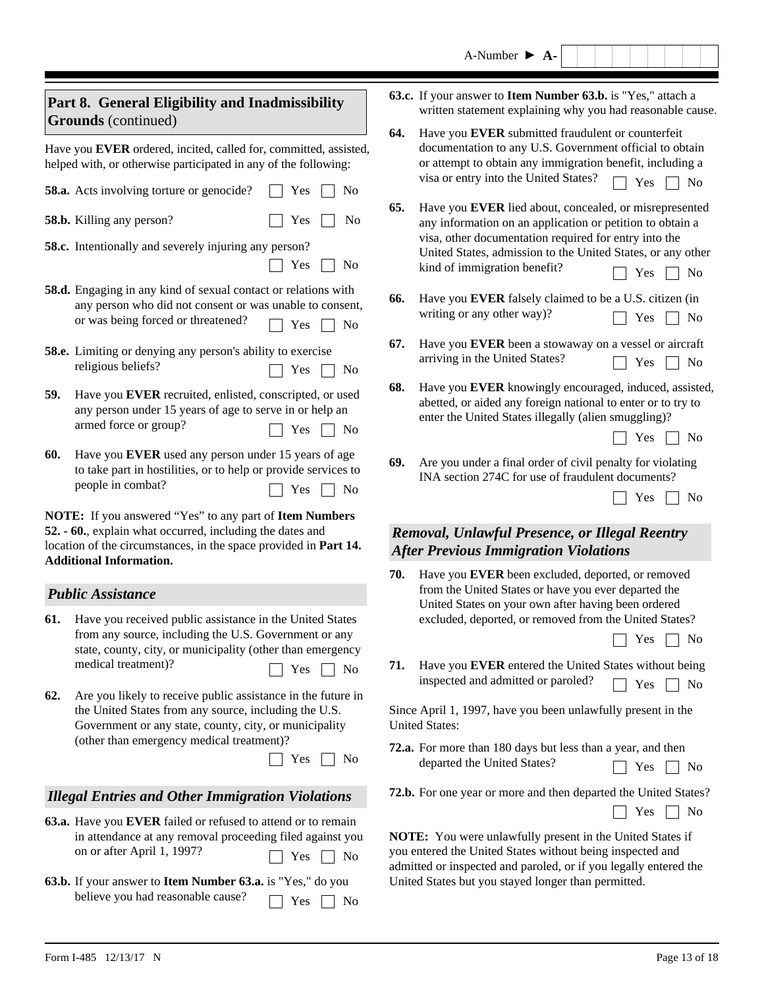|                                                                                                                                                                                                                            |                                                                                                                                                                                                                                                                                      |                                                                                                                                                                                                                                                                | A-Number $\triangleright$ A-                                                                                                                                                                                                                                                                                                  |  |  |  |  |
|----------------------------------------------------------------------------------------------------------------------------------------------------------------------------------------------------------------------------|--------------------------------------------------------------------------------------------------------------------------------------------------------------------------------------------------------------------------------------------------------------------------------------|----------------------------------------------------------------------------------------------------------------------------------------------------------------------------------------------------------------------------------------------------------------|-------------------------------------------------------------------------------------------------------------------------------------------------------------------------------------------------------------------------------------------------------------------------------------------------------------------------------|--|--|--|--|
|                                                                                                                                                                                                                            | Part 8. General Eligibility and Inadmissibility<br><b>Grounds</b> (continued)                                                                                                                                                                                                        |                                                                                                                                                                                                                                                                | 63.c. If your answer to Item Number 63.b. is "Yes," attach a<br>written statement explaining why you had reasonable cause.                                                                                                                                                                                                    |  |  |  |  |
| Have you EVER ordered, incited, called for, committed, assisted,<br>helped with, or otherwise participated in any of the following:                                                                                        |                                                                                                                                                                                                                                                                                      | 64.                                                                                                                                                                                                                                                            | Have you EVER submitted fraudulent or counterfeit<br>documentation to any U.S. Government official to obtain<br>or attempt to obtain any immigration benefit, including a<br>visa or entry into the United States?                                                                                                            |  |  |  |  |
|                                                                                                                                                                                                                            | 58.a. Acts involving torture or genocide?<br>Yes<br>N <sub>0</sub><br>58.b. Killing any person?<br>Yes<br>No<br><b>58.c.</b> Intentionally and severely injuring any person?<br>Yes<br>N <sub>0</sub>                                                                                | 65.                                                                                                                                                                                                                                                            | N <sub>0</sub><br>Yes<br>Have you EVER lied about, concealed, or misrepresented<br>any information on an application or petition to obtain a<br>visa, other documentation required for entry into the<br>United States, admission to the United States, or any other<br>kind of immigration benefit?<br>Yes<br>N <sub>0</sub> |  |  |  |  |
|                                                                                                                                                                                                                            | 58.d. Engaging in any kind of sexual contact or relations with<br>any person who did not consent or was unable to consent,<br>or was being forced or threatened?<br>Yes<br>N <sub>0</sub>                                                                                            | 66.                                                                                                                                                                                                                                                            | Have you EVER falsely claimed to be a U.S. citizen (in<br>writing or any other way)?<br>Yes<br>N <sub>0</sub>                                                                                                                                                                                                                 |  |  |  |  |
|                                                                                                                                                                                                                            | <b>58.e.</b> Limiting or denying any person's ability to exercise<br>religious beliefs?<br>Yes<br>No                                                                                                                                                                                 | 67.                                                                                                                                                                                                                                                            | Have you EVER been a stowaway on a vessel or aircraft<br>arriving in the United States?<br>Yes<br>N <sub>0</sub>                                                                                                                                                                                                              |  |  |  |  |
| 59.                                                                                                                                                                                                                        | Have you EVER recruited, enlisted, conscripted, or used<br>any person under 15 years of age to serve in or help an<br>armed force or group?<br>Yes<br>N <sub>0</sub>                                                                                                                 | 68.                                                                                                                                                                                                                                                            | Have you EVER knowingly encouraged, induced, assisted,<br>abetted, or aided any foreign national to enter or to try to<br>enter the United States illegally (alien smuggling)?<br>Yes<br>N <sub>0</sub>                                                                                                                       |  |  |  |  |
| 60.                                                                                                                                                                                                                        | Have you EVER used any person under 15 years of age<br>to take part in hostilities, or to help or provide services to<br>people in combat?<br>Yes<br>N <sub>0</sub>                                                                                                                  | 69.                                                                                                                                                                                                                                                            | Are you under a final order of civil penalty for violating<br>INA section 274C for use of fraudulent documents?<br>Yes<br>N <sub>0</sub>                                                                                                                                                                                      |  |  |  |  |
| NOTE: If you answered "Yes" to any part of Item Numbers<br>52. - 60., explain what occurred, including the dates and<br>location of the circumstances, in the space provided in Part 14.<br><b>Additional Information.</b> |                                                                                                                                                                                                                                                                                      |                                                                                                                                                                                                                                                                | Removal, Unlawful Presence, or Illegal Reentry<br><b>After Previous Immigration Violations</b>                                                                                                                                                                                                                                |  |  |  |  |
|                                                                                                                                                                                                                            | <b>Public Assistance</b>                                                                                                                                                                                                                                                             | 70.                                                                                                                                                                                                                                                            | Have you EVER been excluded, deported, or removed<br>from the United States or have you ever departed the                                                                                                                                                                                                                     |  |  |  |  |
| 61.                                                                                                                                                                                                                        | Have you received public assistance in the United States<br>from any source, including the U.S. Government or any<br>state, county, city, or municipality (other than emergency<br>medical treatment)?<br>Yes<br>No                                                                  | 71.                                                                                                                                                                                                                                                            | United States on your own after having been ordered<br>excluded, deported, or removed from the United States?<br>Yes<br>No<br>Have you EVER entered the United States without being<br>inspected and admitted or paroled?                                                                                                     |  |  |  |  |
| 62.                                                                                                                                                                                                                        | Are you likely to receive public assistance in the future in<br>the United States from any source, including the U.S.<br>Government or any state, county, city, or municipality                                                                                                      |                                                                                                                                                                                                                                                                | N <sub>0</sub><br>Yes<br>Since April 1, 1997, have you been unlawfully present in the<br><b>United States:</b>                                                                                                                                                                                                                |  |  |  |  |
|                                                                                                                                                                                                                            | (other than emergency medical treatment)?<br>Yes<br>No                                                                                                                                                                                                                               |                                                                                                                                                                                                                                                                | 72.a. For more than 180 days but less than a year, and then<br>departed the United States?<br>Yes<br>No                                                                                                                                                                                                                       |  |  |  |  |
|                                                                                                                                                                                                                            | <b>Illegal Entries and Other Immigration Violations</b>                                                                                                                                                                                                                              |                                                                                                                                                                                                                                                                | 72.b. For one year or more and then departed the United States?                                                                                                                                                                                                                                                               |  |  |  |  |
|                                                                                                                                                                                                                            | 63.a. Have you EVER failed or refused to attend or to remain<br>in attendance at any removal proceeding filed against you<br>on or after April 1, 1997?<br>Yes<br>No<br>63.b. If your answer to Item Number 63.a. is "Yes," do you<br>believe you had reasonable cause?<br>Yes<br>No | Yes<br>No<br>NOTE: You were unlawfully present in the United States if<br>you entered the United States without being inspected and<br>admitted or inspected and paroled, or if you legally entered the<br>United States but you stayed longer than permitted. |                                                                                                                                                                                                                                                                                                                               |  |  |  |  |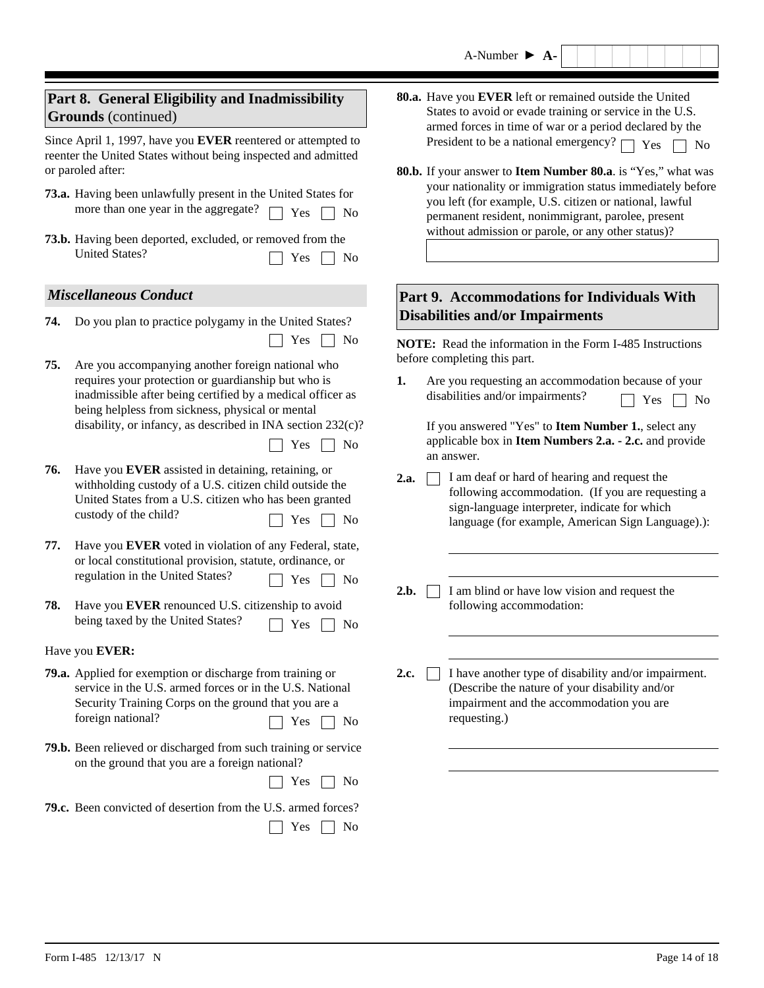|     | Part 8. General Eligibility and Inadmissibility<br><b>Grounds</b> (continued)                                                                                                                                                                                                                                                                                                | 80.a. Have you EVER left or remained outside the United<br>States to avoid or evade training or service in the U.S.<br>armed forces in time of war or a period declared by the                                                                                                                              |                                                                                                        |
|-----|------------------------------------------------------------------------------------------------------------------------------------------------------------------------------------------------------------------------------------------------------------------------------------------------------------------------------------------------------------------------------|-------------------------------------------------------------------------------------------------------------------------------------------------------------------------------------------------------------------------------------------------------------------------------------------------------------|--------------------------------------------------------------------------------------------------------|
|     | Since April 1, 1997, have you EVER reentered or attempted to<br>reenter the United States without being inspected and admitted<br>or paroled after:<br>73.a. Having been unlawfully present in the United States for<br>more than one year in the aggregate?<br>Yes<br>No<br>73.b. Having been deported, excluded, or removed from the<br><b>United States?</b><br>Yes<br>No | President to be a national emergency? [<br>80.b. If your answer to Item Number 80.a. is "Yes," what was<br>you left (for example, U.S. citizen or national, lawful<br>permanent resident, nonimmigrant, parolee, present<br>without admission or parole, or any other status)?                              | Yes<br><b>No</b><br>your nationality or immigration status immediately before                          |
|     | <b>Miscellaneous Conduct</b>                                                                                                                                                                                                                                                                                                                                                 | Part 9. Accommodations for Individuals With                                                                                                                                                                                                                                                                 |                                                                                                        |
| 74. | Do you plan to practice polygamy in the United States?                                                                                                                                                                                                                                                                                                                       | <b>Disabilities and/or Impairments</b>                                                                                                                                                                                                                                                                      |                                                                                                        |
| 75. | Yes<br>No<br>Are you accompanying another foreign national who<br>requires your protection or guardianship but who is<br>inadmissible after being certified by a medical officer as<br>being helpless from sickness, physical or mental<br>disability, or infancy, as described in INA section 232(c)?<br>Yes<br>N <sub>0</sub>                                              | NOTE: Read the information in the Form I-485 Instructions<br>before completing this part.<br>1.<br>Are you requesting an accommodation because of your<br>disabilities and/or impairments?<br>If you answered "Yes" to Item Number 1., select any<br>applicable box in Item Numbers 2.a. - 2.c. and provide | Yes<br>No                                                                                              |
| 76. | Have you EVER assisted in detaining, retaining, or<br>withholding custody of a U.S. citizen child outside the<br>United States from a U.S. citizen who has been granted<br>custody of the child?<br>Yes<br>N <sub>0</sub>                                                                                                                                                    | an answer.<br>I am deaf or hard of hearing and request the<br>2.a.<br>sign-language interpreter, indicate for which                                                                                                                                                                                         | following accommodation. (If you are requesting a<br>language (for example, American Sign Language).): |
| 77. | Have you EVER voted in violation of any Federal, state,<br>or local constitutional provision, statute, ordinance, or<br>regulation in the United States?<br>Yes<br>No                                                                                                                                                                                                        | 2.b.<br>I am blind or have low vision and request the                                                                                                                                                                                                                                                       |                                                                                                        |
| 78. | Have you EVER renounced U.S. citizenship to avoid<br>being taxed by the United States?<br>Yes $\hfill\Box$<br>No                                                                                                                                                                                                                                                             | following accommodation:                                                                                                                                                                                                                                                                                    |                                                                                                        |
|     | Have you EVER:                                                                                                                                                                                                                                                                                                                                                               |                                                                                                                                                                                                                                                                                                             |                                                                                                        |
|     | 79.a. Applied for exemption or discharge from training or<br>service in the U.S. armed forces or in the U.S. National<br>Security Training Corps on the ground that you are a<br>foreign national?<br>Yes<br>No                                                                                                                                                              | 2.c.<br>(Describe the nature of your disability and/or<br>impairment and the accommodation you are<br>requesting.)                                                                                                                                                                                          | I have another type of disability and/or impairment.                                                   |
|     | 79.b. Been relieved or discharged from such training or service<br>on the ground that you are a foreign national?<br>Yes<br>N <sub>0</sub>                                                                                                                                                                                                                                   |                                                                                                                                                                                                                                                                                                             |                                                                                                        |
|     | 79.c. Been convicted of desertion from the U.S. armed forces?<br>Yes<br>No                                                                                                                                                                                                                                                                                                   |                                                                                                                                                                                                                                                                                                             |                                                                                                        |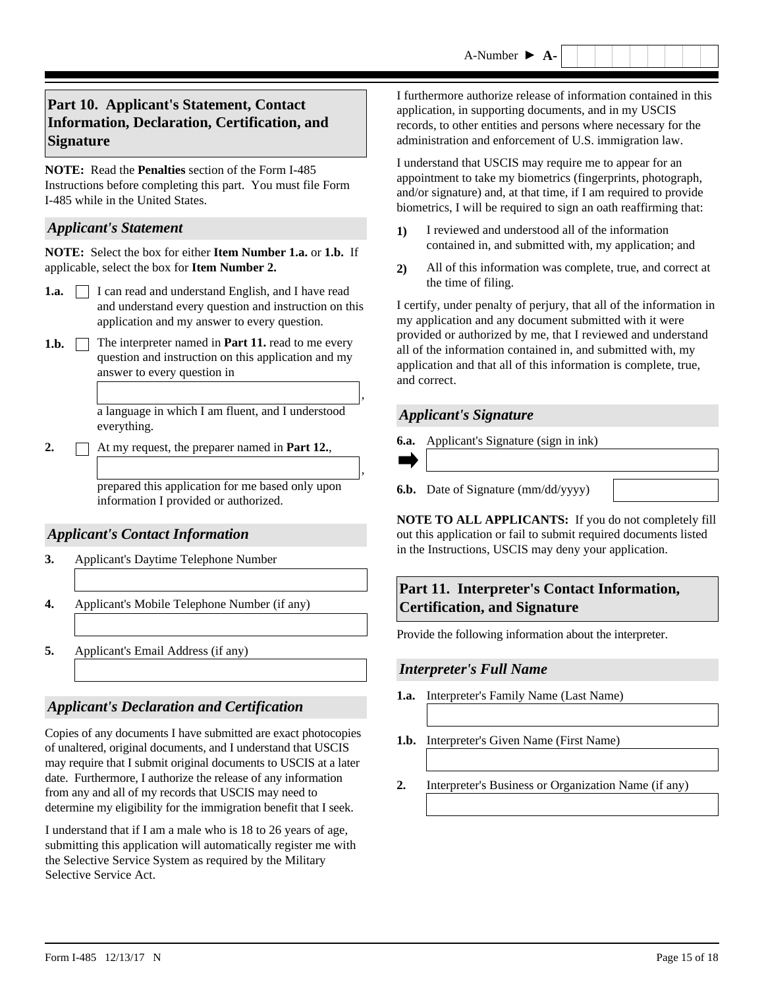## **Part 10. Applicant's Statement, Contact Information, Declaration, Certification, and Signature**

**NOTE:** Read the **Penalties** section of the Form I-485 Instructions before completing this part. You must file Form I-485 while in the United States.

#### *Applicant's Statement*

**NOTE:** Select the box for either **Item Number 1.a.** or **1.b.** If applicable, select the box for **Item Number 2.** 

- **1.a.** I can read and understand English, and I have read and understand every question and instruction on this application and my answer to every question.
- **1.b.**  $\Box$  The interpreter named in **Part 11.** read to me every question and instruction on this application and my answer to every question in

a language in which I am fluent, and I understood everything.

**2.** At my request, the preparer named in **Part 12.**,

prepared this application for me based only upon information I provided or authorized.

## *Applicant's Contact Information*

- **3.** Applicant's Daytime Telephone Number
- **4.** Applicant's Mobile Telephone Number (if any)
- **5.** Applicant's Email Address (if any)

## *Applicant's Declaration and Certification*

Copies of any documents I have submitted are exact photocopies of unaltered, original documents, and I understand that USCIS may require that I submit original documents to USCIS at a later date. Furthermore, I authorize the release of any information from any and all of my records that USCIS may need to determine my eligibility for the immigration benefit that I seek.

I understand that if I am a male who is 18 to 26 years of age, submitting this application will automatically register me with the Selective Service System as required by the Military Selective Service Act.

I furthermore authorize release of information contained in this application, in supporting documents, and in my USCIS records, to other entities and persons where necessary for the administration and enforcement of U.S. immigration law.

I understand that USCIS may require me to appear for an appointment to take my biometrics (fingerprints, photograph, and/or signature) and, at that time, if I am required to provide biometrics, I will be required to sign an oath reaffirming that:

- **1)** I reviewed and understood all of the information contained in, and submitted with, my application; and
- **2)** All of this information was complete, true, and correct at the time of filing.

I certify, under penalty of perjury, that all of the information in my application and any document submitted with it were provided or authorized by me, that I reviewed and understand all of the information contained in, and submitted with, my application and that all of this information is complete, true, and correct.

## *Applicant's Signature*

- **6.a.** Applicant's Signature (sign in ink)
- 

,

,

**6.b.** Date of Signature (mm/dd/yyyy)

**NOTE TO ALL APPLICANTS:** If you do not completely fill out this application or fail to submit required documents listed in the Instructions, USCIS may deny your application.

## **Part 11. Interpreter's Contact Information, Certification, and Signature**

Provide the following information about the interpreter.

## *Interpreter's Full Name*

- **1.a.** Interpreter's Family Name (Last Name)
- **1.b.** Interpreter's Given Name (First Name)
- **2.** Interpreter's Business or Organization Name (if any)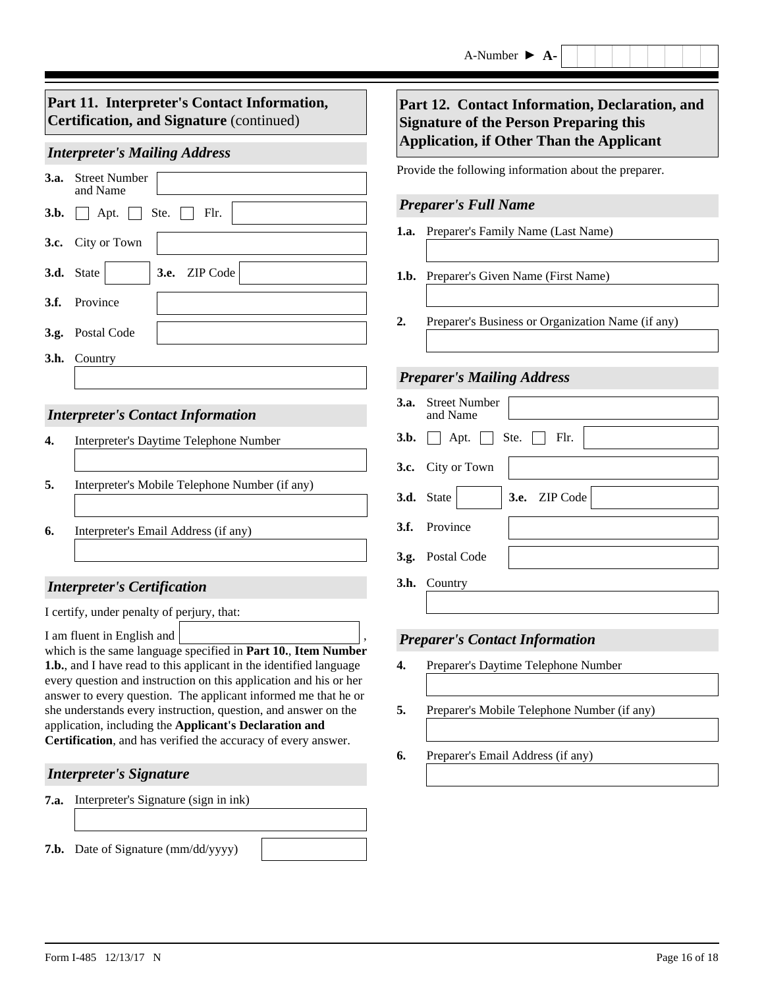## *Interpreter's Mailing Address*

|      | <b>3.a.</b> Street Number<br>and Name             |
|------|---------------------------------------------------|
| 3.b. | $\Box$ Apt. $\Box$ Ste. $\Box$ Flr.               |
|      | 3.c. City or Town                                 |
|      | $\blacktriangleright$ 3.e. ZIP Code<br>3.d. State |
|      | 3.f. Province                                     |
|      | 3.g. Postal Code                                  |
|      | <b>3.h.</b> Country                               |
|      |                                                   |

## *Interpreter's Contact Information*

| Interpreter's Daytime Telephone Number         |  |
|------------------------------------------------|--|
| Interpreter's Mobile Telephone Number (if any) |  |
| Interpreter's Email Address (if any)           |  |

## *Interpreter's Certification*

I certify, under penalty of perjury, that:

I am fluent in English and

which is the same language specified in **Part 10.**, **Item Number 1.b.**, and I have read to this applicant in the identified language every question and instruction on this application and his or her answer to every question. The applicant informed me that he or she understands every instruction, question, and answer on the application, including the **Applicant's Declaration and Certification**, and has verified the accuracy of every answer. ,

## *Interpreter's Signature*

**7.a.** Interpreter's Signature (sign in ink)

**7.b.** Date of Signature (mm/dd/yyyy)

## **Part 12. Contact Information, Declaration, and Signature of the Person Preparing this Application, if Other Than the Applicant**

Provide the following information about the preparer.

#### *Preparer's Full Name*

- **1.a.** Preparer's Family Name (Last Name)
- **1.b.** Preparer's Given Name (First Name)
- **2.** Preparer's Business or Organization Name (if any)

## *Preparer's Mailing Address*

| <b>3.a.</b> Street Number<br>and Name             |
|---------------------------------------------------|
| <b>3.b.</b> $\Box$ Apt. $\Box$ Ste. $\Box$ Flr.   |
| 3.c. City or Town                                 |
| $\blacktriangleright$ 3.e. ZIP Code<br>3.d. State |
| 3.f. Province                                     |
| 3.g. Postal Code                                  |
| 3.h. Country                                      |
|                                                   |

## *Preparer's Contact Information*

- **4.** Preparer's Daytime Telephone Number
- **5.** Preparer's Mobile Telephone Number (if any)
- **6.** Preparer's Email Address (if any)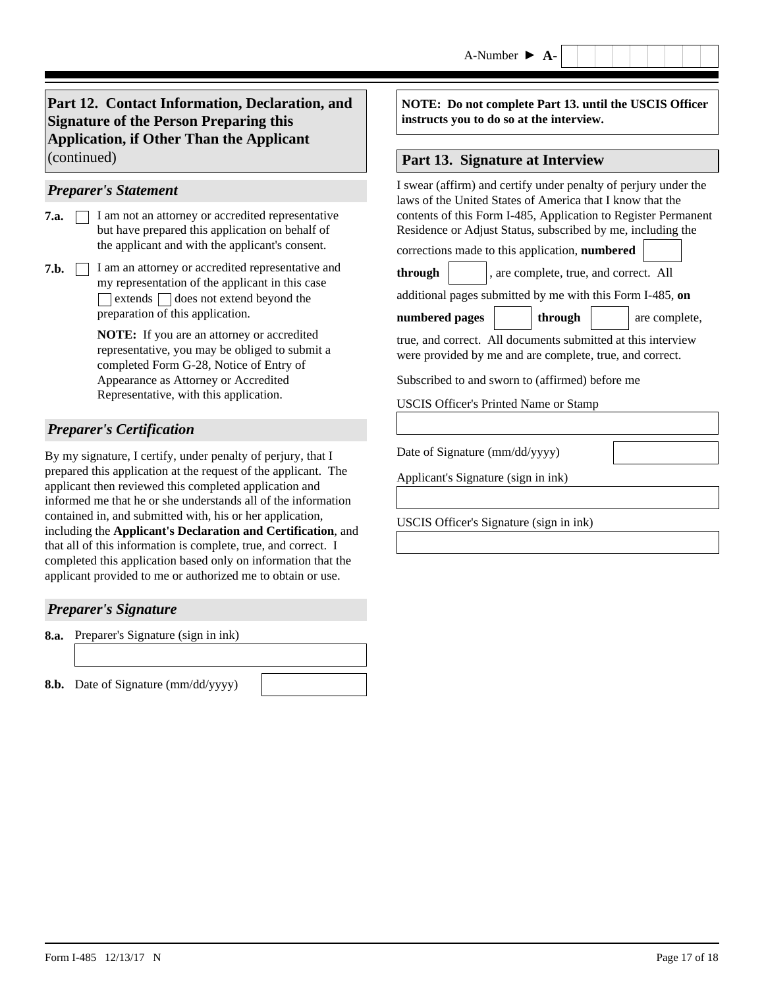**Part 12. Contact Information, Declaration, and Signature of the Person Preparing this Application, if Other Than the Applicant**  (continued) **Part 13. Signature at Interview**

#### *Preparer's Statement*

- I am not an attorney or accredited representative but have prepared this application on behalf of the applicant and with the applicant's consent. **7.a.**
- **7.b.**  $\Box$  I am an attorney or accredited representative and my representation of the applicant in this case  $\Box$  extends  $\Box$  does not extend beyond the preparation of this application.

**NOTE:** If you are an attorney or accredited representative, you may be obliged to submit a completed Form G-28, Notice of Entry of Appearance as Attorney or Accredited Representative, with this application.

## *Preparer's Certification*

By my signature, I certify, under penalty of perjury, that I prepared this application at the request of the applicant. The applicant then reviewed this completed application and informed me that he or she understands all of the information contained in, and submitted with, his or her application, including the **Applicant's Declaration and Certification**, and that all of this information is complete, true, and correct. I completed this application based only on information that the applicant provided to me or authorized me to obtain or use.

## *Preparer's Signature*

**8.a.** Preparer's Signature (sign in ink)

**8.b.** Date of Signature (mm/dd/yyyy)

**NOTE: Do not complete Part 13. until the USCIS Officer instructs you to do so at the interview.** 

I swear (affirm) and certify under penalty of perjury under the laws of the United States of America that I know that the contents of this Form I-485, Application to Register Permanent Residence or Adjust Status, subscribed by me, including the

corrections made to this application, **numbered**

**through** , are complete, true, and correct. All

additional pages submitted by me with this Form I-485, **on**

| numbered pages | through | are complete. |
|----------------|---------|---------------|
|                |         |               |

true, and correct. All documents submitted at this interview were provided by me and are complete, true, and correct.

Subscribed to and sworn to (affirmed) before me

USCIS Officer's Printed Name or Stamp

Date of Signature (mm/dd/yyyy)

Applicant's Signature (sign in ink)

USCIS Officer's Signature (sign in ink)